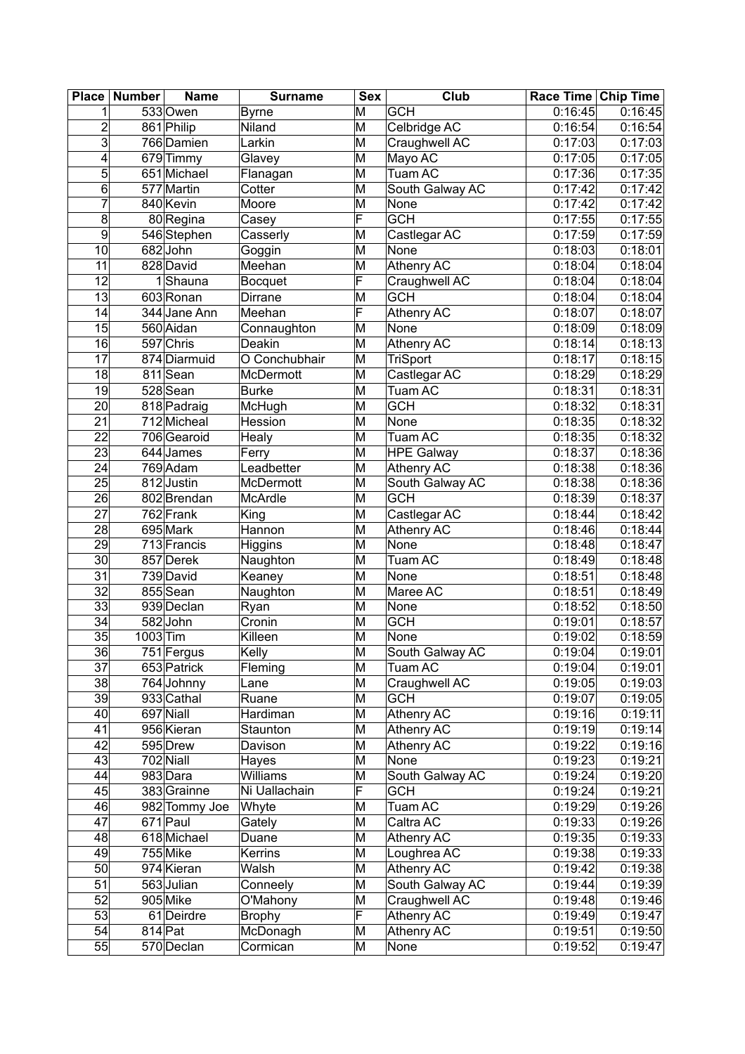| Place           | <b>Number</b> | <b>Name</b>            | <b>Surname</b>   | <b>Sex</b> | Club              | Race Time Chip Time   |         |
|-----------------|---------------|------------------------|------------------|------------|-------------------|-----------------------|---------|
| 1               |               | 533 Owen               | <b>Byrne</b>     | M          | <b>GCH</b>        | 0:16:45               | 0:16:45 |
| $\overline{c}$  |               | 861 Philip             | Niland           | M          | Celbridge AC      | 0:16:54               | 0:16:54 |
| 3               |               | 766 Damien             | Larkin           | M          | Craughwell AC     | 0:17:03               | 0:17:03 |
| 4               |               | 679 Timmy              | Glavey           | M          | Mayo AC           | 0:17:05               | 0:17:05 |
| 5               |               | 651 Michael            | Flanagan         | M          | Tuam AC           | 0:17:36               | 0:17:35 |
| 6               |               | 577 Martin             | Cotter           | M          | South Galway AC   | 0:17:42               | 0:17:42 |
| 7               |               | 840 Kevin              | Moore            | M          | None              | 0:17:42               | 0:17:42 |
| 8               |               | 80 Regina              | Casey            | F          | <b>GCH</b>        | 0:17:55               | 0:17:55 |
| 9               |               | 546 Stephen            | Casserly         | M          | Castlegar AC      | 0:17:59               | 0:17:59 |
| 10              |               | 682John                | Goggin           | M          | None              | 0:18:03               | 0:18:01 |
| 11              |               | 828 David              | Meehan           | M          | Athenry AC        | 0:18:04               | 0:18:04 |
| $\overline{12}$ |               | 1Shauna                | <b>Bocquet</b>   | F          | Craughwell AC     | 0:18:04               | 0:18:04 |
| 13              |               | 603 Ronan              | Dirrane          | M          | <b>GCH</b>        | 0:18:04               | 0:18:04 |
| 14              |               | 344 Jane Ann           | Meehan           | F          | Athenry AC        | 0:18:07               | 0:18:07 |
| 15              |               | 560 Aidan              | Connaughton      | M          | None              | 0:18:09               | 0:18:09 |
| 16              |               | 597 Chris              | Deakin           | M          | <b>Athenry AC</b> | 0:18:14               | 0:18:13 |
| 17              |               | 874 Diarmuid           | O Conchubhair    | M          | <b>TriSport</b>   | 0:18:17               | 0:18:15 |
|                 |               |                        |                  |            |                   |                       |         |
| 18              |               | 811 Sean               | <b>McDermott</b> | M          | Castlegar AC      | 0:18:29               | 0:18:29 |
| 19              |               | 528 Sean               | <b>Burke</b>     | M          | Tuam AC           | 0:18:31               | 0:18:31 |
| 20              |               | 818 Padraig            | McHugh           | M          | <b>GCH</b>        | 0:18:32               | 0:18:31 |
| 21              |               | 712 Micheal            | Hession          | M          | None              | 0:18:35               | 0:18:32 |
| 22              |               | 706 Gearoid            | Healy            | M          | Tuam AC           | 0:18:35               | 0:18:32 |
| $\overline{23}$ |               | 644 James              | Ferry            | M          | <b>HPE Galway</b> | 0:18:37               | 0:18:36 |
| 24              |               | $\overline{76}9$ Adam  | Leadbetter       | M          | Athenry AC        | $\overline{0:}18:38$  | 0:18:36 |
| 25              |               | 812 Justin             | McDermott        | M          | South Galway AC   | 0:18:38               | 0:18:36 |
| 26              |               | 802 Brendan            | <b>McArdle</b>   | M          | <b>GCH</b>        | 0:18:39               | 0:18:37 |
| 27              |               | 762 Frank              | King             | M          | Castlegar AC      | 0:18:44               | 0:18:42 |
| $\overline{28}$ |               | 695 Mark               | Hannon           | M          | Athenry AC        | 0:18:46               | 0:18:44 |
| $\overline{29}$ |               | 713 Francis            | Higgins          | M          | <b>None</b>       | 0:18:48               | 0:18:47 |
| 30              |               | 857 Derek              | Naughton         | M          | Tuam AC           | 0:18:49               | 0:18:48 |
| 31              |               | 739 David              | Keaney           | M          | None              | 0:18:51               | 0:18:48 |
| 32              |               | 855 Sean               | Naughton         | M          | Maree AC          | 0:18:51               | 0:18:49 |
| $\overline{33}$ |               | 939 Declan             | Ryan             | M          | None              | 0:18:52               | 0:18:50 |
| $\overline{34}$ |               | 582John                | Cronin           | M          | <b>GCH</b>        | 0:19:01               | 0:18:57 |
| $\overline{35}$ | 1003 Tim      |                        | Killeen          | M          | None              | 0:19:02               | 0:18:59 |
| 36              |               | 751 Fergus             | Kelly            | M          | South Galway AC   | 0:19:04               | 0:19:01 |
| 37              |               | 653 Patrick            | Fleming          | M          | Tuam AC           | 0:19:04               | 0:19:01 |
| 38              |               | 764 Johnny             | Lane             | M          | Craughwell AC     | 0:19:05               | 0:19:03 |
| 39              |               | 933 Cathal             | Ruane            | M          | <b>GCH</b>        | 0:19:07               | 0:19:05 |
| 40              |               | 697 Niall              | Hardiman         | M          | Athenry AC        | 0:19:16               | 0:19:11 |
| 41              |               | 956 Kieran             | Staunton         | M          | Athenry AC        | 0:19:19               | 0:19:14 |
| 42              |               | 595 Drew               | Davison          | M          | Athenry AC        | $\overline{0}$ :19:22 | 0:19:16 |
| 43              |               | $\overline{702}$ Niall | Hayes            | M          | None              | 0:19:23               | 0:19:21 |
| 44              |               | 983 Dara               | Williams         | M          | South Galway AC   | 0:19:24               | 0:19:20 |
| 45              |               | 383 Grainne            | Ni Uallachain    | F          | <b>GCH</b>        | 0:19:24               | 0:19:21 |
| 46              |               | 982 Tommy Joe          | Whyte            | M          | Tuam AC           | 0:19:29               | 0:19:26 |
| 47              |               | 671 Paul               | Gately           | M          | Caltra AC         | 0:19:33               | 0:19:26 |
| 48              |               | 618 Michael            | Duane            | M          | Athenry AC        | 0:19:35               | 0:19:33 |
| 49              |               | 755 Mike               | Kerrins          | M          | Loughrea AC       | 0:19:38               | 0:19:33 |
| $\overline{50}$ |               | 974 Kieran             | Walsh            | M          | Athenry AC        | 0:19:42               | 0:19:38 |
| 51              |               | 563 Julian             | Conneely         | M          | South Galway AC   | 0:19:44               | 0:19:39 |
| 52              |               | 905 Mike               | O'Mahony         | M          | Craughwell AC     | 0:19:48               | 0:19:46 |
| 53              |               |                        |                  | F          |                   | 0:19:49               |         |
|                 |               | 61 Deirdre             | <b>Brophy</b>    |            | Athenry AC        |                       | 0:19:47 |
| 54              | $814$ Pat     |                        | McDonagh         | M          | Athenry AC        | 0:19:51               | 0:19:50 |
| 55              |               | 570 Declan             | Cormican         | M          | None              | 0:19:52               | 0:19:47 |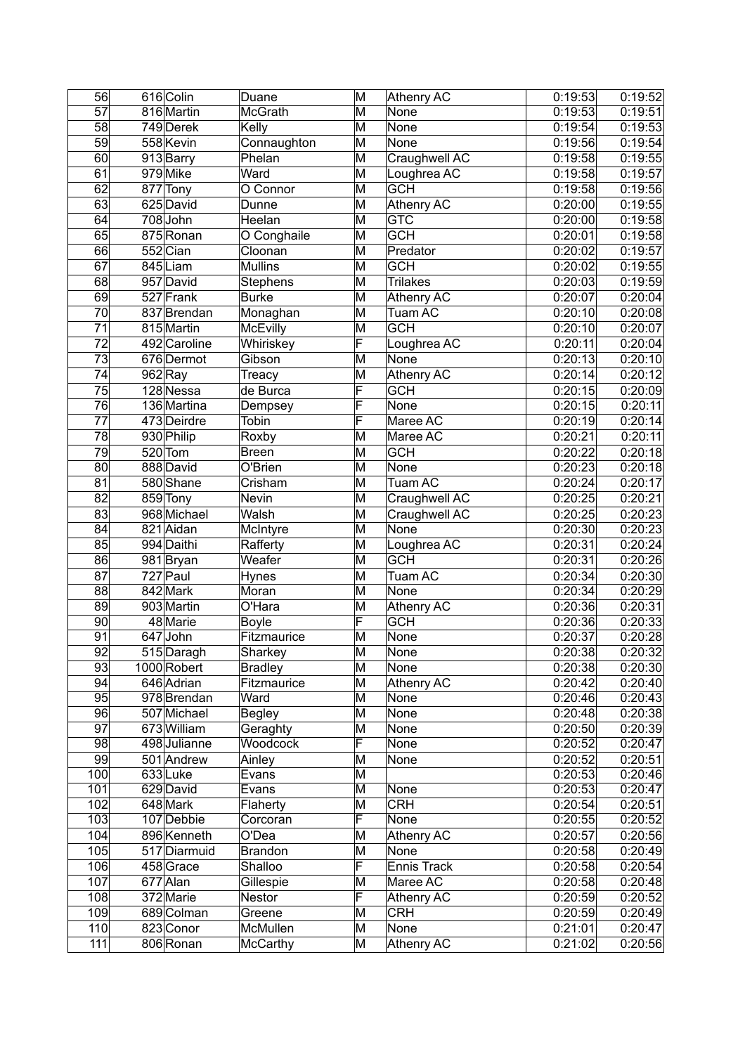| 56              | 616 Colin                 | Duane               | M                       | Athenry AC         | 0:19:53            | 0:19:52            |
|-----------------|---------------------------|---------------------|-------------------------|--------------------|--------------------|--------------------|
| $\overline{57}$ | 816 Martin                | <b>McGrath</b>      | $\overline{\mathsf{M}}$ | None               | 0:19:53            | 0:19:51            |
| 58              | 749 Derek                 | Kelly               | M                       | None               | 0:19:54            | 0:19:53            |
| 59              | 558 Kevin                 | Connaughton         | M                       | None               | 0:19:56            | 0:19:54            |
| 60              | 913 Barry                 | Phelan              | M                       | Craughwell AC      | 0:19:58            | 0:19:55            |
| 61              | 979 Mike                  | Ward                | M                       | Loughrea AC        | 0:19:58            | 0:19:57            |
| $\overline{62}$ | 877 Tony                  | O Connor            | M                       | <b>GCH</b>         | 0:19:58            | 0:19:56            |
| 63              | 625 David                 | Dunne               | M                       | Athenry AC         | 0:20:00            | 0:19:55            |
| 64              | 708John                   | Heelan              | M                       | <b>GTC</b>         | 0:20:00            | 0:19:58            |
| 65              | 875 Ronan                 | O Conghaile         | M                       | <b>GCH</b>         | 0:20:01            | 0:19:58            |
| 66              | 552 Cian                  | Cloonan             | M                       | Predator           | 0:20:02            | 0:19:57            |
| 67              | 845 Liam                  | <b>Mullins</b>      | M                       | <b>GCH</b>         | 0:20:02            |                    |
| 68              |                           |                     |                         | <b>Trilakes</b>    |                    | 0:19:55            |
|                 | 957 David                 | Stephens            | M                       |                    | 0:20:03            | 0:19:59            |
| 69              | 527 Frank                 | <b>Burke</b>        | M                       | Athenry AC         | 0:20:07            | 0:20:04            |
| 70              | 837 Brendan               | Monaghan            | M                       | Tuam AC            | 0:20:10            | 0:20:08            |
| $\overline{71}$ | 815 Martin                | <b>McEvilly</b>     | M                       | <b>GCH</b>         | 0:20:10            | 0:20:07            |
| 72              | 492 Caroline              | Whiriskey           | F                       | Loughrea AC        | 0:20:11            | 0:20:04            |
| 73              | 676 Dermot                | Gibson              | M                       | None               | 0:20:13            | 0:20:10            |
| 74              | $962$ Ray                 | Treacy              | M                       | Athenry AC         | 0:20:14            | 0:20:12            |
| 75              | 128 Nessa                 | de Burca            | F                       | GCH                | 0:20:15            | 0:20:09            |
| $\overline{76}$ | 136 Martina               | Dempsey             | F                       | None               | 0:20:15            | 0:20:11            |
| 77              | 473 Deirdre               | Tobin               | F                       | Maree AC           | 0:20:19            | 0:20:14            |
| 78              | 930 Philip                | Roxby               | M                       | Maree AC           | 0:20:21            | 0:20:11            |
| 79              | $520$ Tom                 | <b>Breen</b>        | M                       | <b>GCH</b>         | 0:20:22            | 0:20:18            |
| 80              | 888 David                 | O'Brien             | M                       | None               | 0:20:23            | 0:20:18            |
| 81              | 580 Shane                 | Crisham             | M                       | Tuam AC            | 0:20:24            | 0:20:17            |
| 82              | 859 Tony                  | Nevin               | M                       | Craughwell AC      | 0:20:25            | 0:20:21            |
| 83              | 968 Michael               | Walsh               | M                       | Craughwell AC      | 0:20:25            | 0:20:23            |
| $\overline{84}$ | 821 Aidan                 | McIntyre            | M                       | None               | 0:20:30            | 0:20:23            |
| 85              | 994 Daithi                | Rafferty            | M                       | Loughrea AC        | 0:20:31            | 0:20:24            |
| 86              | 981 Bryan                 | Weafer              | M                       | <b>GCH</b>         | 0:20:31            | 0:20:26            |
| 87              | $\overline{727}$ Paul     | Hynes               | M                       | Tuam AC            | 0:20:34            | 0:20:30            |
| 88              | 842 Mark                  | Moran               | M                       | None               | 0:20:34            | 0:20:29            |
| 89              | 903 Martin                | O'Hara              | M                       | Athenry AC         | 0:20:36            | 0:20:31            |
| 90              | 48 Marie                  | <b>Boyle</b>        | F                       | <b>GCH</b>         | 0:20:36            | 0:20:33            |
| 91              | 647 John                  | Fitzmaurice         | M                       | None               | 0:20:37            | 0:20:28            |
| 92              | 515 Daragh                | Sharkey             | $\overline{\mathsf{M}}$ | None               | 0:20:38            | 0:20:32            |
| 93              | 1000 Robert               | <b>Bradley</b>      | M                       | None               | 0:20:38            | 0:20:30            |
|                 |                           |                     |                         |                    |                    |                    |
| 94<br>95        | 646 Adrian<br>978 Brendan | Fitzmaurice<br>Ward | M<br>M                  | Athenry AC<br>None | 0:20:42<br>0:20:46 | 0:20:40<br>0:20:43 |
| 96              | 507 Michael               |                     | M                       | None               | 0:20:48            |                    |
| 97              | 673 William               | <b>Begley</b>       |                         |                    | 0:20:50            | 0:20:38            |
|                 |                           | Geraghty            | M                       | None               |                    | 0:20:39            |
| 98              | 498 Julianne              | Woodcock            | F                       | None               | 0:20:52            | 0:20:47            |
| 99              | 501 Andrew                | Ainley              | M                       | None               | 0:20:52            | 0:20:51            |
| 100             | 633Luke                   | Evans               | M                       |                    | 0:20:53            | 0:20:46            |
| 101             | 629 David                 | Evans               | M                       | None               | 0:20:53            | 0:20:47            |
| 102             | 648 Mark                  | Flaherty            | M                       | <b>CRH</b>         | 0:20:54            | 0:20:51            |
| 103             | 107 Debbie                | Corcoran            | F                       | None               | 0:20:55            | 0:20:52            |
| 104             | 896 Kenneth               | O'Dea               | M                       | Athenry AC         | 0:20:57            | 0:20:56            |
| 105             | 517 Diarmuid              | <b>Brandon</b>      | M                       | None               | 0:20:58            | 0:20:49            |
| 106             | 458 Grace                 | Shalloo             | F                       | Ennis Track        | 0:20:58            | 0:20:54            |
| 107             | 677 Alan                  | Gillespie           | M                       | Maree AC           | 0:20:58            | 0:20:48            |
| 108             | 372 Marie                 | Nestor              | F                       | <b>Athenry AC</b>  | 0:20:59            | 0:20:52            |
| 109             | 689 Colman                | Greene              | M                       | <b>CRH</b>         | 0:20:59            | 0:20:49            |
| 110             | 823 Conor                 | McMullen            | M                       | None               | 0:21:01            | 0:20:47            |
| 111             | 806 Ronan                 | <b>McCarthy</b>     | M                       | Athenry AC         | 0:21:02            | 0:20:56            |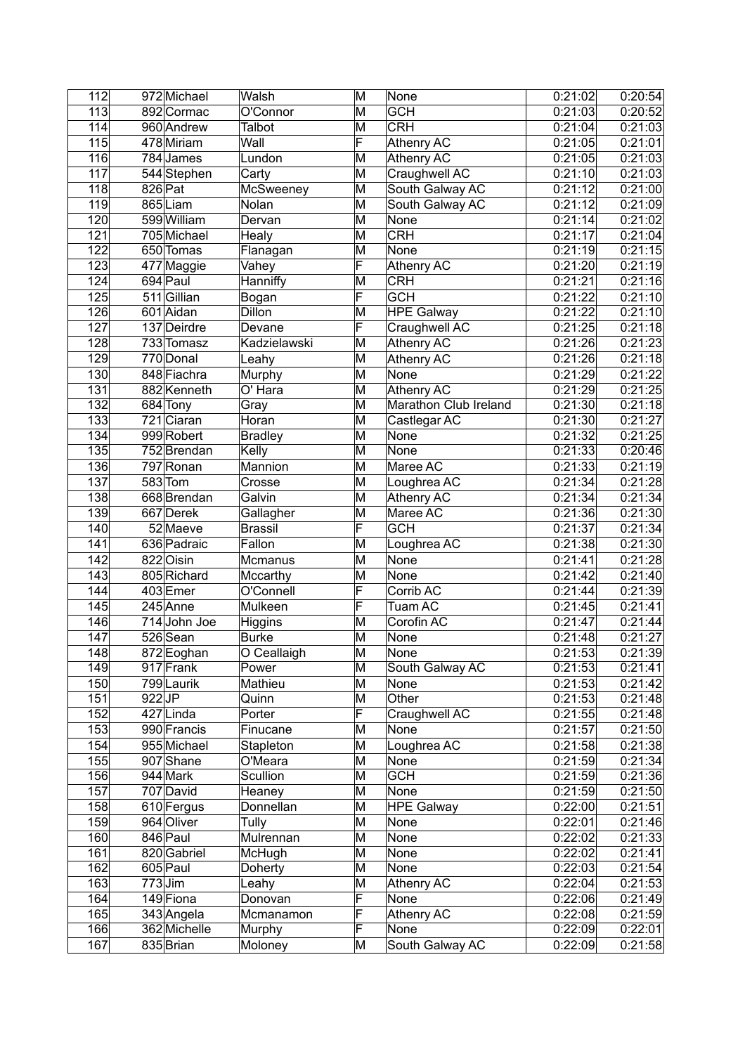| $\overline{112}$ | 972 Michael                                  | Walsh               | M                       | None                  | 0:21:02               | 0:20:54            |
|------------------|----------------------------------------------|---------------------|-------------------------|-----------------------|-----------------------|--------------------|
| $\overline{113}$ | 892 Cormac                                   | O'Connor            | M                       | <b>GCH</b>            | $\overline{0:}21:03$  | 0:20:52            |
| 114              | 960 Andrew                                   | Talbot              | M                       | <b>CRH</b>            | 0:21:04               | 0:21:03            |
| 115              | 478 Miriam                                   | Wall                | F                       | Athenry AC            | 0:21:05               | 0:21:01            |
| 116              | 784 James                                    | Lundon              | M                       | <b>Athenry AC</b>     | 0:21:05               | 0:21:03            |
| 117              | 544 Stephen                                  | Carty               | M                       | Craughwell AC         | 0:21:10               | 0:21:03            |
| 118              | $826$ Pat                                    | McSweeney           | M                       | South Galway AC       | 0:21:12               | 0:21:00            |
| $\overline{119}$ | 865 Liam                                     | Nolan               | M                       | South Galway AC       | 0:21:12               | 0:21:09            |
| 120              | 599 William                                  | Dervan              | M                       | None                  | 0:21:14               | 0:21:02            |
| 121              | 705 Michael                                  | Healy               | M                       | CRH                   | 0:21:17               | 0:21:04            |
| 122              | 650 Tomas                                    | Flanagan            | M                       | None                  | 0:21:19               | 0:21:15            |
| 123              | 477 Maggie                                   | Vahey               | F                       | <b>Athenry AC</b>     | 0:21:20               | 0:21:19            |
| 124              | 694 Paul                                     | Hanniffy            | M                       | <b>CRH</b>            | 0:21:21               | 0:21:16            |
| 125              | 511 Gillian                                  | Bogan               | $\overline{\mathsf{F}}$ | <b>GCH</b>            | 0:21:22               | 0:21:10            |
| 126              | 601 Aidan                                    | Dillon              | M                       | <b>HPE Galway</b>     | 0:21:22               | 0:21:10            |
| 127              | 137 Deirdre                                  | Devane              | F                       | Craughwell AC         | 0:21:25               | 0:21:18            |
| 128              | 733 Tomasz                                   | Kadzielawski        | M                       | Athenry AC            | 0:21:26               | 0:21:23            |
| 129              | 770 Donal                                    | Leahy               | M                       | Athenry AC            | 0:21:26               | 0:21:18            |
| 130              | 848 Fiachra                                  | Murphy              | M                       | None                  | 0:21:29               | 0:21:22            |
| 131              | 882 Kenneth                                  | O' Hara             | M                       | <b>Athenry AC</b>     | 0:21:29               | 0:21:25            |
| 132              | 684 Tony                                     | Gray                | M                       | Marathon Club Ireland | 0:21:30               | 0:21:18            |
| 133              | 721 Ciaran                                   | Horan               | M                       | Castlegar AC          | 0:21:30               | 0:21:27            |
| 134              | 999 Robert                                   | <b>Bradley</b>      | $\overline{\mathsf{M}}$ | None                  | 0:21:32               | 0:21:25            |
| 135              | 752 Brendan                                  | Kelly               | $\overline{\mathsf{M}}$ | None                  | 0:21:33               | 0:20:46            |
| 136              | 797 Ronan                                    | Mannion             | M                       | Maree AC              | 0:21:33               | 0:21:19            |
| 137              | $583$ Tom                                    | Crosse              | M                       | Loughrea AC           | 0:21:34               | 0:21:28            |
| 138              | 668 Brendan                                  | Galvin              | M                       | Athenry AC            | 0:21:34               | 0:21:34            |
| 139              | 667 Derek                                    | Gallagher           | M                       | Maree AC              | 0:21:36               | 0:21:30            |
| 140              | 52 Maeve                                     | Brassil             | F                       | <b>GCH</b>            | 0:21:37               | 0:21:34            |
| 141              | 636 Padraic                                  | Fallon              | M                       | Loughrea AC           | 0:21:38               | 0:21:30            |
| 142              | $\overline{82}$ 2 $\overline{\text{O}}$ isin |                     | M                       | None                  | 0:21:41               | 0:21:28            |
| 143              | 805 Richard                                  | Mcmanus<br>Mccarthy | M                       | None                  | 0:21:42               | 0:21:40            |
| 144              | 403 Emer                                     | O'Connell           | F                       | Corrib AC             | 0:21:44               | 0:21:39            |
| 145              | 245 Anne                                     | Mulkeen             | F                       | Tuam AC               | 0:21:45               | 0:21:41            |
| 146              | 714John Joe                                  |                     | M                       | Corofin AC            | 0:21:47               |                    |
| 147              | 526 Sean                                     | Higgins             | M                       | None                  |                       | 0:21:44<br>0:21:27 |
| 148              |                                              | <b>Burke</b>        | $\overline{\mathsf{M}}$ |                       | 0:21:48<br>0:21:53    | 0:21:39            |
|                  | 872 Eoghan                                   | O Ceallaigh         |                         | None                  | 0:21:53               |                    |
| 149              | 917 Frank                                    | Power               | M                       | South Galway AC       |                       | 0:21:41            |
| 150<br>151       | 799 Laurik<br>$922$ JP                       | Mathieu             | M                       | None<br>Other         | 0:21:53               | 0:21:42            |
|                  |                                              | Quinn               | M<br>F                  |                       | 0:21:53               | 0:21:48            |
| 152              | 427Linda                                     | Porter              |                         | Craughwell AC         | 0:21:55               | 0:21:48            |
| 153              | 990 Francis                                  | Finucane            | M                       | None                  | 0:21:57               | 0:21:50            |
| 154              | 955 Michael                                  | Stapleton           | M                       | Loughrea AC           | 0:21:58               | 0:21:38            |
| 155              | 907 Shane                                    | O'Meara             | M                       | None                  | 0:21:59               | 0:21:34            |
| 156              | 944 Mark                                     | Scullion            | M                       | <b>GCH</b>            | 0:21:59               | 0:21:36            |
| 157              | 707 David                                    | Heaney              | M                       | <b>None</b>           | 0:21:59               | 0:21:50            |
| 158              | 610 Fergus                                   | Donnellan           | M                       | <b>HPE Galway</b>     | 0:22:00               | 0:21:51            |
| 159              | 964 Oliver                                   | Tully               | M                       | None                  | 0:22:01               | 0:21:46            |
| 160              | 846 Paul                                     | Mulrennan           | M                       | None                  | 0:22:02               | 0:21:33            |
| 161              | 820 Gabriel                                  | McHugh              | M                       | None                  | 0:22:02               | 0:21:41            |
| 162              | 605 Paul                                     | Doherty             | M                       | None                  | 0:22:03               | 0:21:54            |
| 163              | $773$ Jim                                    | Leahy               | M                       | Athenry AC            | 0:22:04               | 0:21:53            |
| 164              | 149 Fiona                                    | Donovan             | F                       | None                  | 0:22:06               | 0:21:49            |
| 165              | 343 Angela                                   | Mcmanamon           | F                       | Athenry AC            | $\overline{0}$ :22:08 | 0:21:59            |
| 166              | 362 Michelle                                 | Murphy              | F                       | None                  | 0:22:09               | 0:22:01            |
| 167              | 835 Brian                                    | Moloney             | M                       | South Galway AC       | 0:22:09               | 0:21:58            |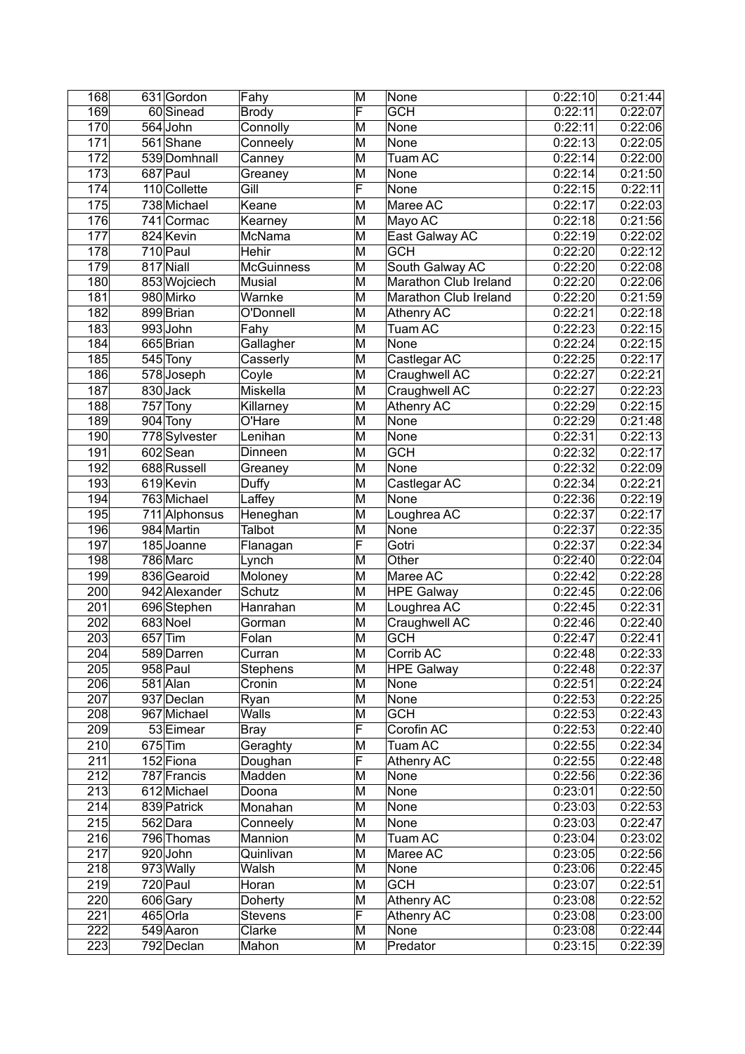| <b>Brody</b><br>0:22:11<br>0:22:06<br>170<br>564 John<br>Connolly<br>M<br>None<br>171<br>561 Shane<br>M<br>None<br>0:22:13<br>Conneely<br>172<br>M<br>539 Domhnall<br>Tuam AC<br>0:22:14<br>Canney<br>173<br>687 Paul<br>M<br>None<br>0:22:14<br>0:21:50<br>Greaney<br>$\overline{\mathsf{F}}$<br>174<br>110 Collette<br>Gill<br>None<br>0:22:15<br>0:22:11<br>Keane<br>Maree AC<br>175<br>738 Michael<br>M<br>0:22:17<br>0:22:03<br>176<br>741 Cormac<br>Kearney<br>Mayo AC<br>0:22:18<br>M<br>177<br>East Galway AC<br>824 Kevin<br>McNama<br>M<br>0:22:19<br>0:22:02<br>178<br>710 Paul<br>Hehir<br><b>GCH</b><br>0:22:12<br>M<br>0:22:20<br>179<br>South Galway AC<br>817 Niall<br><b>McGuinness</b><br>M<br>0:22:20<br>0:22:08<br>180<br>853 Wojciech<br>Musial<br>M<br>Marathon Club Ireland<br>0:22:20<br>Marathon Club Ireland<br>181<br>980 Mirko<br>Warnke<br>M<br>0:22:20<br>899 Brian<br>Athenry AC<br>0:22:21<br>182<br>O'Donnell<br>M<br>993John<br>0:22:23<br>0:22:15<br>183<br>M<br>Tuam AC<br>Fahy<br>0:22:15<br>665 Brian<br>0:22:24<br>184<br>Gallagher<br>M<br>None<br>185<br>Castlegar AC<br>0:22:17<br>545 Tony<br>Casserly<br>M<br>0:22:25<br>578 Joseph<br>M<br>0:22:27<br>186<br>Coyle<br>Craughwell AC<br>0:22:21<br>187<br>830 Jack<br>Miskella<br>M<br>Craughwell AC<br>0:22:27<br>0:22:23<br>188<br>$757$ Tony<br>M<br>Killarney<br>Athenry AC<br>0:22:29<br>0:22:15<br>189<br>O'Hare<br>M<br>904 Tony<br>None<br>0:22:29<br>0:21:48<br>190<br>M<br>778 Sylvester<br>Lenihan<br>None<br>0:22:31<br>0:22:13<br><b>GCH</b><br>191<br>602 Sean<br>M<br>0:22:32<br>0:22:17<br>Dinneen<br>192<br>688 Russell<br>None<br>0:22:32<br>0:22:09<br>M<br>Greaney<br>$\overline{619}$ Kevin<br>Castlegar AC<br>193<br>M<br>0:22:34<br>0:22:21<br>Duffy<br>Laffey<br>None<br>194<br>763 Michael<br>M<br>0:22:36<br>0:22:19<br>195<br>M<br>Loughrea AC<br>0:22:37<br>0:22:17<br>711 Alphonsus<br>Heneghan<br>196<br>984 Martin<br>Talbot<br>M<br>None<br>0:22:37<br>0:22:35<br>F<br>197<br>Gotri<br>185 Joanne<br>0:22:37<br>0:22:34<br>Flanagan<br>$\overline{786}$ Marc<br>Other<br>198<br>M<br>0:22:40<br>0:22:04<br>Lynch<br>836 Gearoid<br>M<br>Maree AC<br>199<br>Moloney<br>0:22:42<br>0:22:28<br>200<br>Schutz<br>0:22:45<br>942 Alexander<br>M<br><b>HPE Galway</b><br>696 Stephen<br>M<br>0:22:31<br>201<br>Loughrea AC<br>0:22:45<br>Hanrahan<br>202<br>683 Noel<br>M<br>Craughwell AC<br>0:22:46<br>Gorman<br>$657$ Tim<br>203<br>M<br><b>GCH</b><br>0:22:47<br>0:22:41<br>Folan<br>589 Darren<br>$\overline{\mathsf{M}}$<br>204<br>Corrib AC<br>Curran<br>0:22:48<br>205<br>958 Paul<br>M<br>0:22:48<br>0:22:37<br><b>Stephens</b><br><b>HPE Galway</b><br>206<br>581 Alan<br>0:22:51<br>Cronin<br>M<br>None<br>0:22:24<br>207<br>$\overline{\mathsf{M}}$<br>937 Declan<br>None<br>0:22:53<br>0:22:25<br>Ryan<br>208<br>$\overline{\mathsf{M}}$<br><b>GCH</b><br>967 Michael<br><b>Walls</b><br>0:22:53<br>0:22:43<br>$\overline{\mathsf{F}}$<br>Corofin AC<br>209<br>53 Eimear<br>0:22:53<br><b>Bray</b><br>210<br>$675$ Tim<br>Tuam AC<br>0:22:55<br>0:22:34<br>Geraghty<br>M<br>F<br>211<br>152 Fiona<br><b>Athenry AC</b><br>Doughan<br>0:22:55<br>0:22:48<br>212<br>787 Francis<br>Madden<br>M<br>None<br>0:22:56<br>213<br>612 Michael<br>None<br>0:23:01<br>Doona<br>M<br>0:22:50<br>214<br>839 Patrick<br>None<br>0:23:03<br>0:22:53<br>Monahan<br>M<br>None<br>215<br>562 Dara<br>Conneely<br>M<br>0:23:03<br>0:22:47<br>216<br>Tuam AC<br>796 Thomas<br>Mannion<br>M<br>0:23:04<br>0:23:02<br>217<br>920John<br>M<br>Maree AC<br>0:23:05<br>Quinlivan<br>218<br>973 Wally<br>Walsh<br>M<br>None<br>0:23:06<br>219<br><b>GCH</b><br>720 Paul<br>Horan<br>M<br>0:23:07<br>0:22:51<br>220<br>M<br>606 Gary<br>Athenry AC<br>0:23:08<br>0:22:52<br>Doherty<br>F<br>221<br>$465$ Orla<br>Athenry AC<br>0:23:08<br><b>Stevens</b><br>222<br>549 Aaron<br>Clarke<br>M<br>None<br>0:23:08<br>0:22:44<br>223<br>M<br>792 Declan<br>Mahon<br>Predator<br>0:23:15 | 168 | 631 Gordon | Fahy | M | None                      | 0:22:10 | 0:21:44 |
|----------------------------------------------------------------------------------------------------------------------------------------------------------------------------------------------------------------------------------------------------------------------------------------------------------------------------------------------------------------------------------------------------------------------------------------------------------------------------------------------------------------------------------------------------------------------------------------------------------------------------------------------------------------------------------------------------------------------------------------------------------------------------------------------------------------------------------------------------------------------------------------------------------------------------------------------------------------------------------------------------------------------------------------------------------------------------------------------------------------------------------------------------------------------------------------------------------------------------------------------------------------------------------------------------------------------------------------------------------------------------------------------------------------------------------------------------------------------------------------------------------------------------------------------------------------------------------------------------------------------------------------------------------------------------------------------------------------------------------------------------------------------------------------------------------------------------------------------------------------------------------------------------------------------------------------------------------------------------------------------------------------------------------------------------------------------------------------------------------------------------------------------------------------------------------------------------------------------------------------------------------------------------------------------------------------------------------------------------------------------------------------------------------------------------------------------------------------------------------------------------------------------------------------------------------------------------------------------------------------------------------------------------------------------------------------------------------------------------------------------------------------------------------------------------------------------------------------------------------------------------------------------------------------------------------------------------------------------------------------------------------------------------------------------------------------------------------------------------------------------------------------------------------------------------------------------------------------------------------------------------------------------------------------------------------------------------------------------------------------------------------------------------------------------------------------------------------------------------------------------------------------------------------------------------------------------------------------------------------------------------------------------------------------------------------------------------------------------------------------------------------------------------------------------------------------------------------------------------------------------------------------------------------------------------------------------------------------------------------------------|-----|------------|------|---|---------------------------|---------|---------|
|                                                                                                                                                                                                                                                                                                                                                                                                                                                                                                                                                                                                                                                                                                                                                                                                                                                                                                                                                                                                                                                                                                                                                                                                                                                                                                                                                                                                                                                                                                                                                                                                                                                                                                                                                                                                                                                                                                                                                                                                                                                                                                                                                                                                                                                                                                                                                                                                                                                                                                                                                                                                                                                                                                                                                                                                                                                                                                                                                                                                                                                                                                                                                                                                                                                                                                                                                                                                                                                                                                                                                                                                                                                                                                                                                                                                                                                                                                                                                                                              | 169 | 60 Sinead  |      | F | $\overline{\mathsf{GCH}}$ | 0:22:11 | 0:22:07 |
|                                                                                                                                                                                                                                                                                                                                                                                                                                                                                                                                                                                                                                                                                                                                                                                                                                                                                                                                                                                                                                                                                                                                                                                                                                                                                                                                                                                                                                                                                                                                                                                                                                                                                                                                                                                                                                                                                                                                                                                                                                                                                                                                                                                                                                                                                                                                                                                                                                                                                                                                                                                                                                                                                                                                                                                                                                                                                                                                                                                                                                                                                                                                                                                                                                                                                                                                                                                                                                                                                                                                                                                                                                                                                                                                                                                                                                                                                                                                                                                              |     |            |      |   |                           |         |         |
| 0:22:00                                                                                                                                                                                                                                                                                                                                                                                                                                                                                                                                                                                                                                                                                                                                                                                                                                                                                                                                                                                                                                                                                                                                                                                                                                                                                                                                                                                                                                                                                                                                                                                                                                                                                                                                                                                                                                                                                                                                                                                                                                                                                                                                                                                                                                                                                                                                                                                                                                                                                                                                                                                                                                                                                                                                                                                                                                                                                                                                                                                                                                                                                                                                                                                                                                                                                                                                                                                                                                                                                                                                                                                                                                                                                                                                                                                                                                                                                                                                                                                      |     |            |      |   |                           |         | 0:22:05 |
|                                                                                                                                                                                                                                                                                                                                                                                                                                                                                                                                                                                                                                                                                                                                                                                                                                                                                                                                                                                                                                                                                                                                                                                                                                                                                                                                                                                                                                                                                                                                                                                                                                                                                                                                                                                                                                                                                                                                                                                                                                                                                                                                                                                                                                                                                                                                                                                                                                                                                                                                                                                                                                                                                                                                                                                                                                                                                                                                                                                                                                                                                                                                                                                                                                                                                                                                                                                                                                                                                                                                                                                                                                                                                                                                                                                                                                                                                                                                                                                              |     |            |      |   |                           |         |         |
| 0:21:56<br>0:22:06<br>0:21:59<br>0:22:18<br>0:22:06<br>0:22:40<br>0:22:40<br>0:22:36<br>0:22:56<br>0:22:45                                                                                                                                                                                                                                                                                                                                                                                                                                                                                                                                                                                                                                                                                                                                                                                                                                                                                                                                                                                                                                                                                                                                                                                                                                                                                                                                                                                                                                                                                                                                                                                                                                                                                                                                                                                                                                                                                                                                                                                                                                                                                                                                                                                                                                                                                                                                                                                                                                                                                                                                                                                                                                                                                                                                                                                                                                                                                                                                                                                                                                                                                                                                                                                                                                                                                                                                                                                                                                                                                                                                                                                                                                                                                                                                                                                                                                                                                   |     |            |      |   |                           |         |         |
|                                                                                                                                                                                                                                                                                                                                                                                                                                                                                                                                                                                                                                                                                                                                                                                                                                                                                                                                                                                                                                                                                                                                                                                                                                                                                                                                                                                                                                                                                                                                                                                                                                                                                                                                                                                                                                                                                                                                                                                                                                                                                                                                                                                                                                                                                                                                                                                                                                                                                                                                                                                                                                                                                                                                                                                                                                                                                                                                                                                                                                                                                                                                                                                                                                                                                                                                                                                                                                                                                                                                                                                                                                                                                                                                                                                                                                                                                                                                                                                              |     |            |      |   |                           |         |         |
|                                                                                                                                                                                                                                                                                                                                                                                                                                                                                                                                                                                                                                                                                                                                                                                                                                                                                                                                                                                                                                                                                                                                                                                                                                                                                                                                                                                                                                                                                                                                                                                                                                                                                                                                                                                                                                                                                                                                                                                                                                                                                                                                                                                                                                                                                                                                                                                                                                                                                                                                                                                                                                                                                                                                                                                                                                                                                                                                                                                                                                                                                                                                                                                                                                                                                                                                                                                                                                                                                                                                                                                                                                                                                                                                                                                                                                                                                                                                                                                              |     |            |      |   |                           |         |         |
|                                                                                                                                                                                                                                                                                                                                                                                                                                                                                                                                                                                                                                                                                                                                                                                                                                                                                                                                                                                                                                                                                                                                                                                                                                                                                                                                                                                                                                                                                                                                                                                                                                                                                                                                                                                                                                                                                                                                                                                                                                                                                                                                                                                                                                                                                                                                                                                                                                                                                                                                                                                                                                                                                                                                                                                                                                                                                                                                                                                                                                                                                                                                                                                                                                                                                                                                                                                                                                                                                                                                                                                                                                                                                                                                                                                                                                                                                                                                                                                              |     |            |      |   |                           |         |         |
|                                                                                                                                                                                                                                                                                                                                                                                                                                                                                                                                                                                                                                                                                                                                                                                                                                                                                                                                                                                                                                                                                                                                                                                                                                                                                                                                                                                                                                                                                                                                                                                                                                                                                                                                                                                                                                                                                                                                                                                                                                                                                                                                                                                                                                                                                                                                                                                                                                                                                                                                                                                                                                                                                                                                                                                                                                                                                                                                                                                                                                                                                                                                                                                                                                                                                                                                                                                                                                                                                                                                                                                                                                                                                                                                                                                                                                                                                                                                                                                              |     |            |      |   |                           |         |         |
|                                                                                                                                                                                                                                                                                                                                                                                                                                                                                                                                                                                                                                                                                                                                                                                                                                                                                                                                                                                                                                                                                                                                                                                                                                                                                                                                                                                                                                                                                                                                                                                                                                                                                                                                                                                                                                                                                                                                                                                                                                                                                                                                                                                                                                                                                                                                                                                                                                                                                                                                                                                                                                                                                                                                                                                                                                                                                                                                                                                                                                                                                                                                                                                                                                                                                                                                                                                                                                                                                                                                                                                                                                                                                                                                                                                                                                                                                                                                                                                              |     |            |      |   |                           |         |         |
|                                                                                                                                                                                                                                                                                                                                                                                                                                                                                                                                                                                                                                                                                                                                                                                                                                                                                                                                                                                                                                                                                                                                                                                                                                                                                                                                                                                                                                                                                                                                                                                                                                                                                                                                                                                                                                                                                                                                                                                                                                                                                                                                                                                                                                                                                                                                                                                                                                                                                                                                                                                                                                                                                                                                                                                                                                                                                                                                                                                                                                                                                                                                                                                                                                                                                                                                                                                                                                                                                                                                                                                                                                                                                                                                                                                                                                                                                                                                                                                              |     |            |      |   |                           |         |         |
|                                                                                                                                                                                                                                                                                                                                                                                                                                                                                                                                                                                                                                                                                                                                                                                                                                                                                                                                                                                                                                                                                                                                                                                                                                                                                                                                                                                                                                                                                                                                                                                                                                                                                                                                                                                                                                                                                                                                                                                                                                                                                                                                                                                                                                                                                                                                                                                                                                                                                                                                                                                                                                                                                                                                                                                                                                                                                                                                                                                                                                                                                                                                                                                                                                                                                                                                                                                                                                                                                                                                                                                                                                                                                                                                                                                                                                                                                                                                                                                              |     |            |      |   |                           |         |         |
|                                                                                                                                                                                                                                                                                                                                                                                                                                                                                                                                                                                                                                                                                                                                                                                                                                                                                                                                                                                                                                                                                                                                                                                                                                                                                                                                                                                                                                                                                                                                                                                                                                                                                                                                                                                                                                                                                                                                                                                                                                                                                                                                                                                                                                                                                                                                                                                                                                                                                                                                                                                                                                                                                                                                                                                                                                                                                                                                                                                                                                                                                                                                                                                                                                                                                                                                                                                                                                                                                                                                                                                                                                                                                                                                                                                                                                                                                                                                                                                              |     |            |      |   |                           |         |         |
|                                                                                                                                                                                                                                                                                                                                                                                                                                                                                                                                                                                                                                                                                                                                                                                                                                                                                                                                                                                                                                                                                                                                                                                                                                                                                                                                                                                                                                                                                                                                                                                                                                                                                                                                                                                                                                                                                                                                                                                                                                                                                                                                                                                                                                                                                                                                                                                                                                                                                                                                                                                                                                                                                                                                                                                                                                                                                                                                                                                                                                                                                                                                                                                                                                                                                                                                                                                                                                                                                                                                                                                                                                                                                                                                                                                                                                                                                                                                                                                              |     |            |      |   |                           |         |         |
|                                                                                                                                                                                                                                                                                                                                                                                                                                                                                                                                                                                                                                                                                                                                                                                                                                                                                                                                                                                                                                                                                                                                                                                                                                                                                                                                                                                                                                                                                                                                                                                                                                                                                                                                                                                                                                                                                                                                                                                                                                                                                                                                                                                                                                                                                                                                                                                                                                                                                                                                                                                                                                                                                                                                                                                                                                                                                                                                                                                                                                                                                                                                                                                                                                                                                                                                                                                                                                                                                                                                                                                                                                                                                                                                                                                                                                                                                                                                                                                              |     |            |      |   |                           |         |         |
|                                                                                                                                                                                                                                                                                                                                                                                                                                                                                                                                                                                                                                                                                                                                                                                                                                                                                                                                                                                                                                                                                                                                                                                                                                                                                                                                                                                                                                                                                                                                                                                                                                                                                                                                                                                                                                                                                                                                                                                                                                                                                                                                                                                                                                                                                                                                                                                                                                                                                                                                                                                                                                                                                                                                                                                                                                                                                                                                                                                                                                                                                                                                                                                                                                                                                                                                                                                                                                                                                                                                                                                                                                                                                                                                                                                                                                                                                                                                                                                              |     |            |      |   |                           |         |         |
|                                                                                                                                                                                                                                                                                                                                                                                                                                                                                                                                                                                                                                                                                                                                                                                                                                                                                                                                                                                                                                                                                                                                                                                                                                                                                                                                                                                                                                                                                                                                                                                                                                                                                                                                                                                                                                                                                                                                                                                                                                                                                                                                                                                                                                                                                                                                                                                                                                                                                                                                                                                                                                                                                                                                                                                                                                                                                                                                                                                                                                                                                                                                                                                                                                                                                                                                                                                                                                                                                                                                                                                                                                                                                                                                                                                                                                                                                                                                                                                              |     |            |      |   |                           |         |         |
|                                                                                                                                                                                                                                                                                                                                                                                                                                                                                                                                                                                                                                                                                                                                                                                                                                                                                                                                                                                                                                                                                                                                                                                                                                                                                                                                                                                                                                                                                                                                                                                                                                                                                                                                                                                                                                                                                                                                                                                                                                                                                                                                                                                                                                                                                                                                                                                                                                                                                                                                                                                                                                                                                                                                                                                                                                                                                                                                                                                                                                                                                                                                                                                                                                                                                                                                                                                                                                                                                                                                                                                                                                                                                                                                                                                                                                                                                                                                                                                              |     |            |      |   |                           |         |         |
| 0:22:33<br>0:23:00<br>0:22:39                                                                                                                                                                                                                                                                                                                                                                                                                                                                                                                                                                                                                                                                                                                                                                                                                                                                                                                                                                                                                                                                                                                                                                                                                                                                                                                                                                                                                                                                                                                                                                                                                                                                                                                                                                                                                                                                                                                                                                                                                                                                                                                                                                                                                                                                                                                                                                                                                                                                                                                                                                                                                                                                                                                                                                                                                                                                                                                                                                                                                                                                                                                                                                                                                                                                                                                                                                                                                                                                                                                                                                                                                                                                                                                                                                                                                                                                                                                                                                |     |            |      |   |                           |         |         |
|                                                                                                                                                                                                                                                                                                                                                                                                                                                                                                                                                                                                                                                                                                                                                                                                                                                                                                                                                                                                                                                                                                                                                                                                                                                                                                                                                                                                                                                                                                                                                                                                                                                                                                                                                                                                                                                                                                                                                                                                                                                                                                                                                                                                                                                                                                                                                                                                                                                                                                                                                                                                                                                                                                                                                                                                                                                                                                                                                                                                                                                                                                                                                                                                                                                                                                                                                                                                                                                                                                                                                                                                                                                                                                                                                                                                                                                                                                                                                                                              |     |            |      |   |                           |         |         |
|                                                                                                                                                                                                                                                                                                                                                                                                                                                                                                                                                                                                                                                                                                                                                                                                                                                                                                                                                                                                                                                                                                                                                                                                                                                                                                                                                                                                                                                                                                                                                                                                                                                                                                                                                                                                                                                                                                                                                                                                                                                                                                                                                                                                                                                                                                                                                                                                                                                                                                                                                                                                                                                                                                                                                                                                                                                                                                                                                                                                                                                                                                                                                                                                                                                                                                                                                                                                                                                                                                                                                                                                                                                                                                                                                                                                                                                                                                                                                                                              |     |            |      |   |                           |         |         |
|                                                                                                                                                                                                                                                                                                                                                                                                                                                                                                                                                                                                                                                                                                                                                                                                                                                                                                                                                                                                                                                                                                                                                                                                                                                                                                                                                                                                                                                                                                                                                                                                                                                                                                                                                                                                                                                                                                                                                                                                                                                                                                                                                                                                                                                                                                                                                                                                                                                                                                                                                                                                                                                                                                                                                                                                                                                                                                                                                                                                                                                                                                                                                                                                                                                                                                                                                                                                                                                                                                                                                                                                                                                                                                                                                                                                                                                                                                                                                                                              |     |            |      |   |                           |         |         |
|                                                                                                                                                                                                                                                                                                                                                                                                                                                                                                                                                                                                                                                                                                                                                                                                                                                                                                                                                                                                                                                                                                                                                                                                                                                                                                                                                                                                                                                                                                                                                                                                                                                                                                                                                                                                                                                                                                                                                                                                                                                                                                                                                                                                                                                                                                                                                                                                                                                                                                                                                                                                                                                                                                                                                                                                                                                                                                                                                                                                                                                                                                                                                                                                                                                                                                                                                                                                                                                                                                                                                                                                                                                                                                                                                                                                                                                                                                                                                                                              |     |            |      |   |                           |         |         |
|                                                                                                                                                                                                                                                                                                                                                                                                                                                                                                                                                                                                                                                                                                                                                                                                                                                                                                                                                                                                                                                                                                                                                                                                                                                                                                                                                                                                                                                                                                                                                                                                                                                                                                                                                                                                                                                                                                                                                                                                                                                                                                                                                                                                                                                                                                                                                                                                                                                                                                                                                                                                                                                                                                                                                                                                                                                                                                                                                                                                                                                                                                                                                                                                                                                                                                                                                                                                                                                                                                                                                                                                                                                                                                                                                                                                                                                                                                                                                                                              |     |            |      |   |                           |         |         |
|                                                                                                                                                                                                                                                                                                                                                                                                                                                                                                                                                                                                                                                                                                                                                                                                                                                                                                                                                                                                                                                                                                                                                                                                                                                                                                                                                                                                                                                                                                                                                                                                                                                                                                                                                                                                                                                                                                                                                                                                                                                                                                                                                                                                                                                                                                                                                                                                                                                                                                                                                                                                                                                                                                                                                                                                                                                                                                                                                                                                                                                                                                                                                                                                                                                                                                                                                                                                                                                                                                                                                                                                                                                                                                                                                                                                                                                                                                                                                                                              |     |            |      |   |                           |         |         |
|                                                                                                                                                                                                                                                                                                                                                                                                                                                                                                                                                                                                                                                                                                                                                                                                                                                                                                                                                                                                                                                                                                                                                                                                                                                                                                                                                                                                                                                                                                                                                                                                                                                                                                                                                                                                                                                                                                                                                                                                                                                                                                                                                                                                                                                                                                                                                                                                                                                                                                                                                                                                                                                                                                                                                                                                                                                                                                                                                                                                                                                                                                                                                                                                                                                                                                                                                                                                                                                                                                                                                                                                                                                                                                                                                                                                                                                                                                                                                                                              |     |            |      |   |                           |         |         |
|                                                                                                                                                                                                                                                                                                                                                                                                                                                                                                                                                                                                                                                                                                                                                                                                                                                                                                                                                                                                                                                                                                                                                                                                                                                                                                                                                                                                                                                                                                                                                                                                                                                                                                                                                                                                                                                                                                                                                                                                                                                                                                                                                                                                                                                                                                                                                                                                                                                                                                                                                                                                                                                                                                                                                                                                                                                                                                                                                                                                                                                                                                                                                                                                                                                                                                                                                                                                                                                                                                                                                                                                                                                                                                                                                                                                                                                                                                                                                                                              |     |            |      |   |                           |         |         |
|                                                                                                                                                                                                                                                                                                                                                                                                                                                                                                                                                                                                                                                                                                                                                                                                                                                                                                                                                                                                                                                                                                                                                                                                                                                                                                                                                                                                                                                                                                                                                                                                                                                                                                                                                                                                                                                                                                                                                                                                                                                                                                                                                                                                                                                                                                                                                                                                                                                                                                                                                                                                                                                                                                                                                                                                                                                                                                                                                                                                                                                                                                                                                                                                                                                                                                                                                                                                                                                                                                                                                                                                                                                                                                                                                                                                                                                                                                                                                                                              |     |            |      |   |                           |         |         |
|                                                                                                                                                                                                                                                                                                                                                                                                                                                                                                                                                                                                                                                                                                                                                                                                                                                                                                                                                                                                                                                                                                                                                                                                                                                                                                                                                                                                                                                                                                                                                                                                                                                                                                                                                                                                                                                                                                                                                                                                                                                                                                                                                                                                                                                                                                                                                                                                                                                                                                                                                                                                                                                                                                                                                                                                                                                                                                                                                                                                                                                                                                                                                                                                                                                                                                                                                                                                                                                                                                                                                                                                                                                                                                                                                                                                                                                                                                                                                                                              |     |            |      |   |                           |         |         |
|                                                                                                                                                                                                                                                                                                                                                                                                                                                                                                                                                                                                                                                                                                                                                                                                                                                                                                                                                                                                                                                                                                                                                                                                                                                                                                                                                                                                                                                                                                                                                                                                                                                                                                                                                                                                                                                                                                                                                                                                                                                                                                                                                                                                                                                                                                                                                                                                                                                                                                                                                                                                                                                                                                                                                                                                                                                                                                                                                                                                                                                                                                                                                                                                                                                                                                                                                                                                                                                                                                                                                                                                                                                                                                                                                                                                                                                                                                                                                                                              |     |            |      |   |                           |         |         |
|                                                                                                                                                                                                                                                                                                                                                                                                                                                                                                                                                                                                                                                                                                                                                                                                                                                                                                                                                                                                                                                                                                                                                                                                                                                                                                                                                                                                                                                                                                                                                                                                                                                                                                                                                                                                                                                                                                                                                                                                                                                                                                                                                                                                                                                                                                                                                                                                                                                                                                                                                                                                                                                                                                                                                                                                                                                                                                                                                                                                                                                                                                                                                                                                                                                                                                                                                                                                                                                                                                                                                                                                                                                                                                                                                                                                                                                                                                                                                                                              |     |            |      |   |                           |         |         |
|                                                                                                                                                                                                                                                                                                                                                                                                                                                                                                                                                                                                                                                                                                                                                                                                                                                                                                                                                                                                                                                                                                                                                                                                                                                                                                                                                                                                                                                                                                                                                                                                                                                                                                                                                                                                                                                                                                                                                                                                                                                                                                                                                                                                                                                                                                                                                                                                                                                                                                                                                                                                                                                                                                                                                                                                                                                                                                                                                                                                                                                                                                                                                                                                                                                                                                                                                                                                                                                                                                                                                                                                                                                                                                                                                                                                                                                                                                                                                                                              |     |            |      |   |                           |         |         |
|                                                                                                                                                                                                                                                                                                                                                                                                                                                                                                                                                                                                                                                                                                                                                                                                                                                                                                                                                                                                                                                                                                                                                                                                                                                                                                                                                                                                                                                                                                                                                                                                                                                                                                                                                                                                                                                                                                                                                                                                                                                                                                                                                                                                                                                                                                                                                                                                                                                                                                                                                                                                                                                                                                                                                                                                                                                                                                                                                                                                                                                                                                                                                                                                                                                                                                                                                                                                                                                                                                                                                                                                                                                                                                                                                                                                                                                                                                                                                                                              |     |            |      |   |                           |         |         |
|                                                                                                                                                                                                                                                                                                                                                                                                                                                                                                                                                                                                                                                                                                                                                                                                                                                                                                                                                                                                                                                                                                                                                                                                                                                                                                                                                                                                                                                                                                                                                                                                                                                                                                                                                                                                                                                                                                                                                                                                                                                                                                                                                                                                                                                                                                                                                                                                                                                                                                                                                                                                                                                                                                                                                                                                                                                                                                                                                                                                                                                                                                                                                                                                                                                                                                                                                                                                                                                                                                                                                                                                                                                                                                                                                                                                                                                                                                                                                                                              |     |            |      |   |                           |         |         |
|                                                                                                                                                                                                                                                                                                                                                                                                                                                                                                                                                                                                                                                                                                                                                                                                                                                                                                                                                                                                                                                                                                                                                                                                                                                                                                                                                                                                                                                                                                                                                                                                                                                                                                                                                                                                                                                                                                                                                                                                                                                                                                                                                                                                                                                                                                                                                                                                                                                                                                                                                                                                                                                                                                                                                                                                                                                                                                                                                                                                                                                                                                                                                                                                                                                                                                                                                                                                                                                                                                                                                                                                                                                                                                                                                                                                                                                                                                                                                                                              |     |            |      |   |                           |         |         |
|                                                                                                                                                                                                                                                                                                                                                                                                                                                                                                                                                                                                                                                                                                                                                                                                                                                                                                                                                                                                                                                                                                                                                                                                                                                                                                                                                                                                                                                                                                                                                                                                                                                                                                                                                                                                                                                                                                                                                                                                                                                                                                                                                                                                                                                                                                                                                                                                                                                                                                                                                                                                                                                                                                                                                                                                                                                                                                                                                                                                                                                                                                                                                                                                                                                                                                                                                                                                                                                                                                                                                                                                                                                                                                                                                                                                                                                                                                                                                                                              |     |            |      |   |                           |         |         |
|                                                                                                                                                                                                                                                                                                                                                                                                                                                                                                                                                                                                                                                                                                                                                                                                                                                                                                                                                                                                                                                                                                                                                                                                                                                                                                                                                                                                                                                                                                                                                                                                                                                                                                                                                                                                                                                                                                                                                                                                                                                                                                                                                                                                                                                                                                                                                                                                                                                                                                                                                                                                                                                                                                                                                                                                                                                                                                                                                                                                                                                                                                                                                                                                                                                                                                                                                                                                                                                                                                                                                                                                                                                                                                                                                                                                                                                                                                                                                                                              |     |            |      |   |                           |         |         |
|                                                                                                                                                                                                                                                                                                                                                                                                                                                                                                                                                                                                                                                                                                                                                                                                                                                                                                                                                                                                                                                                                                                                                                                                                                                                                                                                                                                                                                                                                                                                                                                                                                                                                                                                                                                                                                                                                                                                                                                                                                                                                                                                                                                                                                                                                                                                                                                                                                                                                                                                                                                                                                                                                                                                                                                                                                                                                                                                                                                                                                                                                                                                                                                                                                                                                                                                                                                                                                                                                                                                                                                                                                                                                                                                                                                                                                                                                                                                                                                              |     |            |      |   |                           |         |         |
|                                                                                                                                                                                                                                                                                                                                                                                                                                                                                                                                                                                                                                                                                                                                                                                                                                                                                                                                                                                                                                                                                                                                                                                                                                                                                                                                                                                                                                                                                                                                                                                                                                                                                                                                                                                                                                                                                                                                                                                                                                                                                                                                                                                                                                                                                                                                                                                                                                                                                                                                                                                                                                                                                                                                                                                                                                                                                                                                                                                                                                                                                                                                                                                                                                                                                                                                                                                                                                                                                                                                                                                                                                                                                                                                                                                                                                                                                                                                                                                              |     |            |      |   |                           |         |         |
|                                                                                                                                                                                                                                                                                                                                                                                                                                                                                                                                                                                                                                                                                                                                                                                                                                                                                                                                                                                                                                                                                                                                                                                                                                                                                                                                                                                                                                                                                                                                                                                                                                                                                                                                                                                                                                                                                                                                                                                                                                                                                                                                                                                                                                                                                                                                                                                                                                                                                                                                                                                                                                                                                                                                                                                                                                                                                                                                                                                                                                                                                                                                                                                                                                                                                                                                                                                                                                                                                                                                                                                                                                                                                                                                                                                                                                                                                                                                                                                              |     |            |      |   |                           |         |         |
|                                                                                                                                                                                                                                                                                                                                                                                                                                                                                                                                                                                                                                                                                                                                                                                                                                                                                                                                                                                                                                                                                                                                                                                                                                                                                                                                                                                                                                                                                                                                                                                                                                                                                                                                                                                                                                                                                                                                                                                                                                                                                                                                                                                                                                                                                                                                                                                                                                                                                                                                                                                                                                                                                                                                                                                                                                                                                                                                                                                                                                                                                                                                                                                                                                                                                                                                                                                                                                                                                                                                                                                                                                                                                                                                                                                                                                                                                                                                                                                              |     |            |      |   |                           |         |         |
|                                                                                                                                                                                                                                                                                                                                                                                                                                                                                                                                                                                                                                                                                                                                                                                                                                                                                                                                                                                                                                                                                                                                                                                                                                                                                                                                                                                                                                                                                                                                                                                                                                                                                                                                                                                                                                                                                                                                                                                                                                                                                                                                                                                                                                                                                                                                                                                                                                                                                                                                                                                                                                                                                                                                                                                                                                                                                                                                                                                                                                                                                                                                                                                                                                                                                                                                                                                                                                                                                                                                                                                                                                                                                                                                                                                                                                                                                                                                                                                              |     |            |      |   |                           |         |         |
|                                                                                                                                                                                                                                                                                                                                                                                                                                                                                                                                                                                                                                                                                                                                                                                                                                                                                                                                                                                                                                                                                                                                                                                                                                                                                                                                                                                                                                                                                                                                                                                                                                                                                                                                                                                                                                                                                                                                                                                                                                                                                                                                                                                                                                                                                                                                                                                                                                                                                                                                                                                                                                                                                                                                                                                                                                                                                                                                                                                                                                                                                                                                                                                                                                                                                                                                                                                                                                                                                                                                                                                                                                                                                                                                                                                                                                                                                                                                                                                              |     |            |      |   |                           |         |         |
|                                                                                                                                                                                                                                                                                                                                                                                                                                                                                                                                                                                                                                                                                                                                                                                                                                                                                                                                                                                                                                                                                                                                                                                                                                                                                                                                                                                                                                                                                                                                                                                                                                                                                                                                                                                                                                                                                                                                                                                                                                                                                                                                                                                                                                                                                                                                                                                                                                                                                                                                                                                                                                                                                                                                                                                                                                                                                                                                                                                                                                                                                                                                                                                                                                                                                                                                                                                                                                                                                                                                                                                                                                                                                                                                                                                                                                                                                                                                                                                              |     |            |      |   |                           |         |         |
|                                                                                                                                                                                                                                                                                                                                                                                                                                                                                                                                                                                                                                                                                                                                                                                                                                                                                                                                                                                                                                                                                                                                                                                                                                                                                                                                                                                                                                                                                                                                                                                                                                                                                                                                                                                                                                                                                                                                                                                                                                                                                                                                                                                                                                                                                                                                                                                                                                                                                                                                                                                                                                                                                                                                                                                                                                                                                                                                                                                                                                                                                                                                                                                                                                                                                                                                                                                                                                                                                                                                                                                                                                                                                                                                                                                                                                                                                                                                                                                              |     |            |      |   |                           |         |         |
|                                                                                                                                                                                                                                                                                                                                                                                                                                                                                                                                                                                                                                                                                                                                                                                                                                                                                                                                                                                                                                                                                                                                                                                                                                                                                                                                                                                                                                                                                                                                                                                                                                                                                                                                                                                                                                                                                                                                                                                                                                                                                                                                                                                                                                                                                                                                                                                                                                                                                                                                                                                                                                                                                                                                                                                                                                                                                                                                                                                                                                                                                                                                                                                                                                                                                                                                                                                                                                                                                                                                                                                                                                                                                                                                                                                                                                                                                                                                                                                              |     |            |      |   |                           |         |         |
|                                                                                                                                                                                                                                                                                                                                                                                                                                                                                                                                                                                                                                                                                                                                                                                                                                                                                                                                                                                                                                                                                                                                                                                                                                                                                                                                                                                                                                                                                                                                                                                                                                                                                                                                                                                                                                                                                                                                                                                                                                                                                                                                                                                                                                                                                                                                                                                                                                                                                                                                                                                                                                                                                                                                                                                                                                                                                                                                                                                                                                                                                                                                                                                                                                                                                                                                                                                                                                                                                                                                                                                                                                                                                                                                                                                                                                                                                                                                                                                              |     |            |      |   |                           |         |         |
|                                                                                                                                                                                                                                                                                                                                                                                                                                                                                                                                                                                                                                                                                                                                                                                                                                                                                                                                                                                                                                                                                                                                                                                                                                                                                                                                                                                                                                                                                                                                                                                                                                                                                                                                                                                                                                                                                                                                                                                                                                                                                                                                                                                                                                                                                                                                                                                                                                                                                                                                                                                                                                                                                                                                                                                                                                                                                                                                                                                                                                                                                                                                                                                                                                                                                                                                                                                                                                                                                                                                                                                                                                                                                                                                                                                                                                                                                                                                                                                              |     |            |      |   |                           |         |         |
|                                                                                                                                                                                                                                                                                                                                                                                                                                                                                                                                                                                                                                                                                                                                                                                                                                                                                                                                                                                                                                                                                                                                                                                                                                                                                                                                                                                                                                                                                                                                                                                                                                                                                                                                                                                                                                                                                                                                                                                                                                                                                                                                                                                                                                                                                                                                                                                                                                                                                                                                                                                                                                                                                                                                                                                                                                                                                                                                                                                                                                                                                                                                                                                                                                                                                                                                                                                                                                                                                                                                                                                                                                                                                                                                                                                                                                                                                                                                                                                              |     |            |      |   |                           |         |         |
|                                                                                                                                                                                                                                                                                                                                                                                                                                                                                                                                                                                                                                                                                                                                                                                                                                                                                                                                                                                                                                                                                                                                                                                                                                                                                                                                                                                                                                                                                                                                                                                                                                                                                                                                                                                                                                                                                                                                                                                                                                                                                                                                                                                                                                                                                                                                                                                                                                                                                                                                                                                                                                                                                                                                                                                                                                                                                                                                                                                                                                                                                                                                                                                                                                                                                                                                                                                                                                                                                                                                                                                                                                                                                                                                                                                                                                                                                                                                                                                              |     |            |      |   |                           |         |         |
|                                                                                                                                                                                                                                                                                                                                                                                                                                                                                                                                                                                                                                                                                                                                                                                                                                                                                                                                                                                                                                                                                                                                                                                                                                                                                                                                                                                                                                                                                                                                                                                                                                                                                                                                                                                                                                                                                                                                                                                                                                                                                                                                                                                                                                                                                                                                                                                                                                                                                                                                                                                                                                                                                                                                                                                                                                                                                                                                                                                                                                                                                                                                                                                                                                                                                                                                                                                                                                                                                                                                                                                                                                                                                                                                                                                                                                                                                                                                                                                              |     |            |      |   |                           |         |         |
|                                                                                                                                                                                                                                                                                                                                                                                                                                                                                                                                                                                                                                                                                                                                                                                                                                                                                                                                                                                                                                                                                                                                                                                                                                                                                                                                                                                                                                                                                                                                                                                                                                                                                                                                                                                                                                                                                                                                                                                                                                                                                                                                                                                                                                                                                                                                                                                                                                                                                                                                                                                                                                                                                                                                                                                                                                                                                                                                                                                                                                                                                                                                                                                                                                                                                                                                                                                                                                                                                                                                                                                                                                                                                                                                                                                                                                                                                                                                                                                              |     |            |      |   |                           |         |         |
|                                                                                                                                                                                                                                                                                                                                                                                                                                                                                                                                                                                                                                                                                                                                                                                                                                                                                                                                                                                                                                                                                                                                                                                                                                                                                                                                                                                                                                                                                                                                                                                                                                                                                                                                                                                                                                                                                                                                                                                                                                                                                                                                                                                                                                                                                                                                                                                                                                                                                                                                                                                                                                                                                                                                                                                                                                                                                                                                                                                                                                                                                                                                                                                                                                                                                                                                                                                                                                                                                                                                                                                                                                                                                                                                                                                                                                                                                                                                                                                              |     |            |      |   |                           |         |         |
|                                                                                                                                                                                                                                                                                                                                                                                                                                                                                                                                                                                                                                                                                                                                                                                                                                                                                                                                                                                                                                                                                                                                                                                                                                                                                                                                                                                                                                                                                                                                                                                                                                                                                                                                                                                                                                                                                                                                                                                                                                                                                                                                                                                                                                                                                                                                                                                                                                                                                                                                                                                                                                                                                                                                                                                                                                                                                                                                                                                                                                                                                                                                                                                                                                                                                                                                                                                                                                                                                                                                                                                                                                                                                                                                                                                                                                                                                                                                                                                              |     |            |      |   |                           |         |         |
|                                                                                                                                                                                                                                                                                                                                                                                                                                                                                                                                                                                                                                                                                                                                                                                                                                                                                                                                                                                                                                                                                                                                                                                                                                                                                                                                                                                                                                                                                                                                                                                                                                                                                                                                                                                                                                                                                                                                                                                                                                                                                                                                                                                                                                                                                                                                                                                                                                                                                                                                                                                                                                                                                                                                                                                                                                                                                                                                                                                                                                                                                                                                                                                                                                                                                                                                                                                                                                                                                                                                                                                                                                                                                                                                                                                                                                                                                                                                                                                              |     |            |      |   |                           |         |         |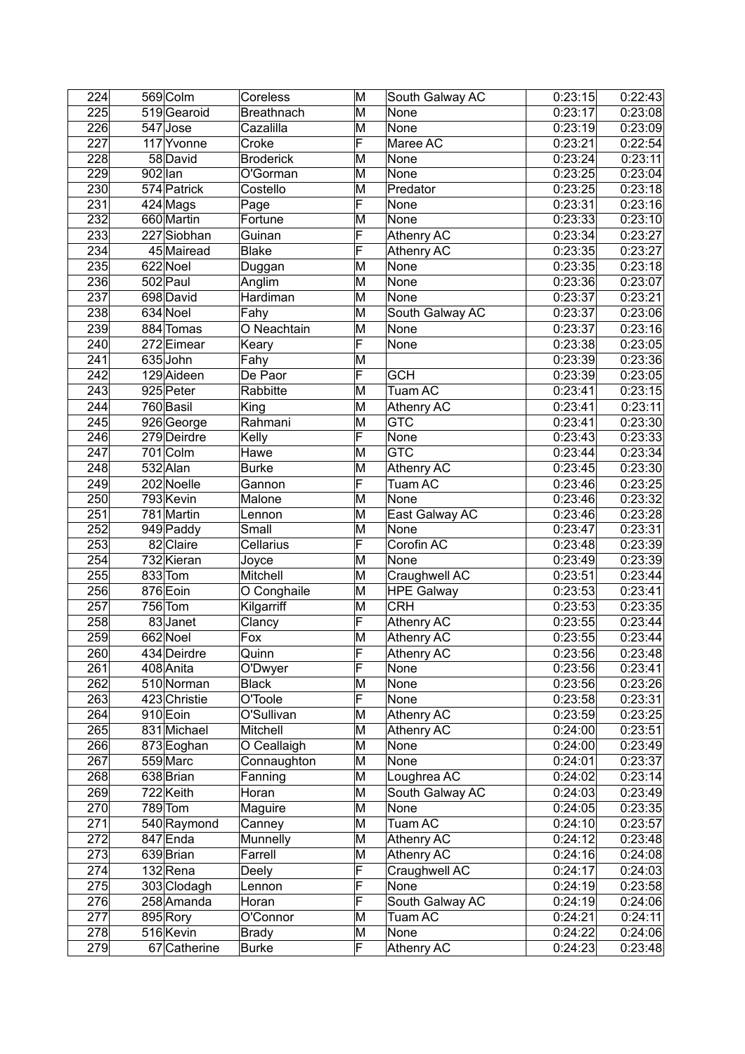| 224 | 569 Colm               | Coreless          | M                       | South Galway AC   | 0:23:15 | 0:22:43 |
|-----|------------------------|-------------------|-------------------------|-------------------|---------|---------|
| 225 | 519 Gearoid            | <b>Breathnach</b> | M                       | None              | 0:23:17 | 0:23:08 |
| 226 | 547 Jose               | Cazalilla         | M                       | None              | 0:23:19 | 0:23:09 |
| 227 | 117 Yvonne             | Croke             | F                       | Maree AC          | 0:23:21 | 0:22:54 |
| 228 | 58 David               | <b>Broderick</b>  | M                       | None              | 0:23:24 | 0:23:11 |
| 229 | $902$ lan              | O'Gorman          | M                       | None              | 0:23:25 | 0:23:04 |
| 230 | 574 Patrick            | Costello          | M                       | Predator          | 0:23:25 | 0:23:18 |
| 231 | $424$ Mags             | Page              | F                       | None              | 0:23:31 | 0:23:16 |
| 232 | 660 Martin             | Fortune           | M                       | None              | 0:23:33 | 0:23:10 |
| 233 | 227 Siobhan            | Guinan            | F                       | Athenry AC        | 0:23:34 | 0:23:27 |
| 234 | 45 Mairead             | Blake             | F                       | Athenry AC        | 0:23:35 | 0:23:27 |
| 235 | 622 Noel               | Duggan            | M                       | None              | 0:23:35 | 0:23:18 |
| 236 | 502 Paul               | Anglim            | M                       | None              | 0:23:36 | 0:23:07 |
| 237 | 698 David              | Hardiman          | M                       | None              | 0:23:37 | 0:23:21 |
| 238 | 634 Noel               | Fahy              | M                       | South Galway AC   | 0:23:37 | 0:23:06 |
| 239 | 884 Tomas              | O Neachtain       | M                       | None              | 0:23:37 | 0:23:16 |
| 240 | 272 Eimear             | Keary             | F                       | None              | 0:23:38 | 0:23:05 |
| 241 | 635 John               | Fahy              | M                       |                   | 0:23:39 | 0:23:36 |
| 242 | 129 Aideen             | De Paor           | $\overline{\mathsf{F}}$ | <b>GCH</b>        | 0:23:39 | 0:23:05 |
| 243 | 925 Peter              | Rabbitte          | M                       | Tuam AC           | 0:23:41 | 0:23:15 |
| 244 | 760 Basil              | King              | M                       | <b>Athenry AC</b> | 0:23:41 | 0:23:11 |
| 245 | 926 George             | Rahmani           | M                       | <b>GTC</b>        | 0:23:41 | 0:23:30 |
| 246 | 279 Deirdre            | Kelly             | F                       | None              | 0:23:43 | 0:23:33 |
| 247 | 701 Colm               | Hawe              | M                       | <b>GTC</b>        | 0:23:44 | 0:23:34 |
| 248 | 532 Alan               | <b>Burke</b>      | M                       | Athenry AC        | 0:23:45 | 0:23:30 |
| 249 | 202 Noelle             | Gannon            | F                       | Tuam AC           | 0:23:46 | 0:23:25 |
| 250 | 793 Kevin              | Malone            | M                       | None              | 0:23:46 | 0:23:32 |
| 251 | 781 Martin             | Lennon            | M                       | East Galway AC    | 0:23:46 | 0:23:28 |
| 252 | 949 Paddy              | Small             | M                       | None              | 0:23:47 | 0:23:31 |
| 253 | $\overline{82}$ Claire | Cellarius         | F                       | Corofin AC        | 0:23:48 | 0:23:39 |
| 254 | 732 Kieran             | Joyce             | M                       | None              | 0:23:49 | 0:23:39 |
| 255 | 833 Tom                | Mitchell          | M                       | Craughwell AC     | 0:23:51 | 0:23:44 |
| 256 | 876 Eoin               | O Conghaile       | M                       | <b>HPE Galway</b> | 0:23:53 | 0:23:41 |
| 257 | 756 Tom                | Kilgarriff        | M                       | <b>CRH</b>        | 0:23:53 | 0:23:35 |
| 258 | 83 Janet               | Clancy            | F                       | Athenry AC        | 0:23:55 | 0:23:44 |
| 259 | 662 Noel               | Fox               | M                       | Athenry AC        | 0:23:55 | 0:23:44 |
| 260 | 434 Deirdre            | Quinn             | $\overline{\mathsf{F}}$ | <b>Athenry AC</b> | 0:23:56 | 0:23:48 |
| 261 | 408 Anita              | O'Dwyer           | F                       | None              | 0:23:56 | 0:23:41 |
| 262 | 510 Norman             | <b>Black</b>      | M                       | None              | 0:23:56 | 0:23:26 |
| 263 | 423 Christie           | O'Toole           | F                       | None              | 0:23:58 | 0:23:31 |
| 264 | 910 Eoin               | O'Sullivan        | M                       | Athenry AC        | 0:23:59 | 0:23:25 |
| 265 | 831 Michael            | Mitchell          | M                       | <b>Athenry AC</b> | 0:24:00 | 0:23:51 |
| 266 | 873 Eoghan             | O Ceallaigh       | M                       | None              | 0:24:00 | 0:23:49 |
| 267 | 559 Marc               | Connaughton       | M                       | None              | 0:24:01 | 0:23:37 |
| 268 | 638 Brian              | Fanning           | M                       | Loughrea AC       | 0:24:02 | 0:23:14 |
| 269 | 722 Keith              | Horan             | M                       | South Galway AC   | 0:24:03 | 0:23:49 |
| 270 | $789$ Tom              | Maguire           | M                       | None              | 0:24:05 | 0:23:35 |
| 271 | 540 Raymond            | Canney            | M                       | Tuam AC           | 0:24:10 | 0:23:57 |
| 272 | 847 Enda               | Munnelly          | M                       | Athenry AC        | 0:24:12 | 0:23:48 |
| 273 | 639 Brian              | Farrell           | M                       | Athenry AC        | 0:24:16 | 0:24:08 |
| 274 | $132$ Rena             | Deely             | F                       | Craughwell AC     | 0:24:17 | 0:24:03 |
| 275 | 303 Clodagh            | Lennon            | F                       | None              | 0:24:19 | 0:23:58 |
| 276 | 258 Amanda             | Horan             | F                       | South Galway AC   | 0:24:19 | 0:24:06 |
| 277 | 895 Rory               | O'Connor          | M                       | Tuam AC           | 0:24:21 | 0:24:11 |
| 278 | 516 Kevin              | <b>Brady</b>      | M                       | None              | 0:24:22 | 0:24:06 |
| 279 | 67 Catherine           | <b>Burke</b>      | F                       | Athenry AC        | 0:24:23 | 0:23:48 |
|     |                        |                   |                         |                   |         |         |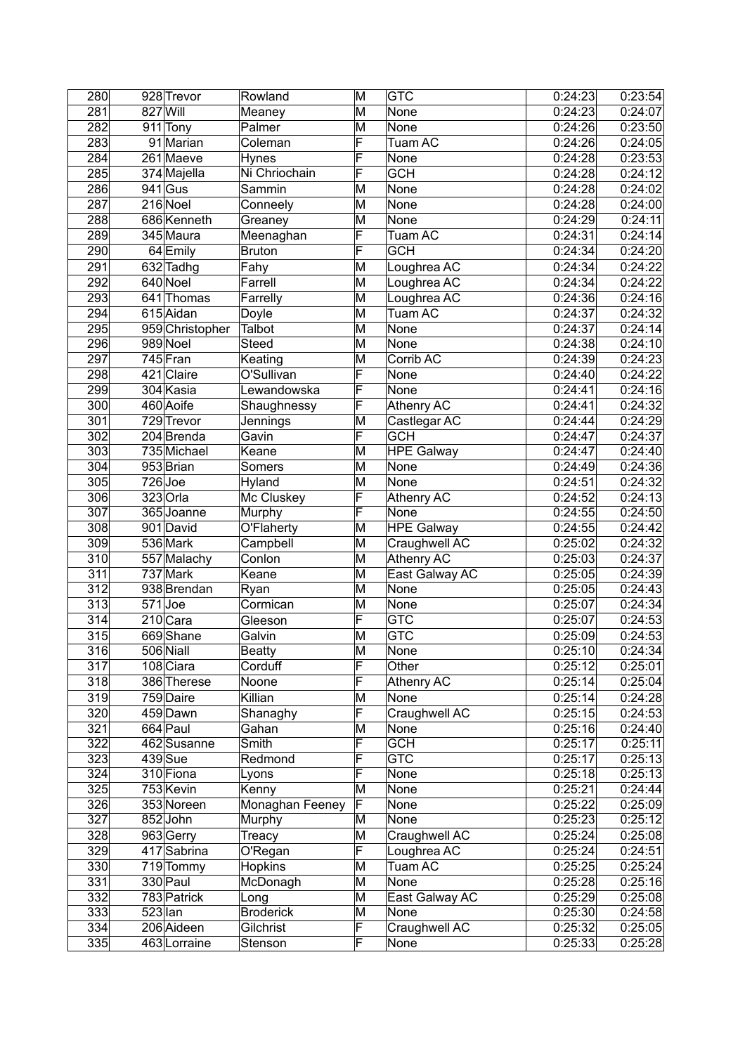| 280              | 928 Trevor           | Rowland          | M                       | <b>GTC</b>              | 0:24:23 | 0:23:54 |
|------------------|----------------------|------------------|-------------------------|-------------------------|---------|---------|
| 281              | 827 Will             | Meaney           | M                       | None                    | 0:24:23 | 0:24:07 |
| 282              | 911 Tony             | Palmer           | M                       | None                    | 0:24:26 | 0:23:50 |
| 283              | 91 Marian            | Coleman          | F                       | Tuam AC                 | 0:24:26 | 0:24:05 |
| 284              | $261$ Maeve          | <b>Hynes</b>     | F                       | None                    | 0:24:28 | 0:23:53 |
| 285              | 374 Majella          | Ni Chriochain    | F                       | <b>GCH</b>              | 0:24:28 | 0:24:12 |
| 286              | $941$ Gus            | Sammin           | M                       | None                    | 0:24:28 | 0:24:02 |
| 287              | 216 Noel             | Conneely         | M                       | None                    | 0:24:28 | 0:24:00 |
| 288              | 686 Kenneth          | Greaney          | M                       | None                    | 0:24:29 | 0:24:11 |
| 289              | 345 Maura            | Meenaghan        | F                       | Tuam AC                 | 0:24:31 | 0:24:14 |
| 290              | 64 Emily             | <b>Bruton</b>    | F                       | <b>GCH</b>              | 0:24:34 | 0:24:20 |
| 291              | 632 Tadhg            | Fahy             | M                       | Loughrea AC             | 0:24:34 | 0:24:22 |
| 292              | 640 Noel             | Farrell          | M                       | Loughrea AC             | 0:24:34 | 0:24:22 |
| 293              | 641 Thomas           | Farrelly         | M                       | Loughrea AC             | 0:24:36 | 0:24:16 |
| 294              | $615$ Aidan          | Doyle            | M                       | Tuam AC                 | 0:24:37 | 0:24:32 |
| 295              | 959 Christopher      | Talbot           | M                       | None                    | 0:24:37 | 0:24:14 |
| 296              | 989 Noel             | <b>Steed</b>     | M                       | None                    | 0:24:38 | 0:24:10 |
| 297              | $745$ Fran           | Keating          | M                       | Corrib AC               | 0:24:39 | 0:24:23 |
| 298              | 421 Claire           | O'Sullivan       | F                       | None                    | 0:24:40 | 0:24:22 |
| 299              | 304 Kasia            | Lewandowska      | F                       | None                    | 0:24:41 | 0:24:16 |
| 300              | 460 Aoife            | Shaughnessy      | F                       | Athenry AC              | 0:24:41 | 0:24:32 |
| 301              | 729 Trevor           | Jennings         | M                       | Castlegar AC            | 0:24:44 | 0:24:29 |
| $\overline{302}$ | 204 Brenda           | Gavin            | F                       | <b>GCH</b>              | 0:24:47 | 0:24:37 |
| $\overline{303}$ | 735 Michael          | Keane            | M                       | <b>HPE Galway</b>       | 0:24:47 | 0:24:40 |
| 304              | 953 Brian            | Somers           | M                       | None                    | 0:24:49 | 0:24:36 |
| 305              | $726$ Joe            | Hyland           | M                       | None                    | 0:24:51 | 0:24:32 |
| 306              | 323 Orla             | Mc Cluskey       | F                       | Athenry AC              | 0:24:52 | 0:24:13 |
| 307              | 365 Joanne           | Murphy           | $\overline{\mathsf{F}}$ | None                    | 0:24:55 | 0:24:50 |
| 308              | 901 David            | O'Flaherty       | M                       | <b>HPE Galway</b>       | 0:24:55 | 0:24:42 |
| 309              | 536 Mark             | Campbell         | M                       | Craughwell AC           | 0:25:02 | 0:24:32 |
| 310              | 557 Malachy          | Conlon           | M                       | Athenry AC              | 0:25:03 | 0:24:37 |
| 311              | 737 Mark             | Keane            | M                       | East Galway AC          | 0:25:05 | 0:24:39 |
| 312              | 938 Brendan          | Ryan             | M                       | None                    | 0:25:05 | 0:24:43 |
| 313              | $\overline{571}$ Joe | Cormican         | M                       | None                    | 0:25:07 | 0:24:34 |
| 314              | $210$ Cara           | Gleeson          | F                       | <b>GTC</b>              | 0:25:07 | 0:24:53 |
| 315              | 669 Shane            | Galvin           | M                       | <b>GTC</b>              | 0:25:09 | 0:24:53 |
| $\overline{316}$ | 506 Niall            | <b>Beatty</b>    | $\overline{\mathsf{M}}$ | None                    | 0:25:10 | 0:24:34 |
| 317              | 108 Ciara            | Corduff          | F                       | Other                   | 0:25:12 | 0:25:01 |
| 318              | 386 Therese          | Noone            | F                       | Athenry AC              | 0:25:14 | 0:25:04 |
| 319              | 759 Daire            | Killian          | M                       | None                    | 0:25:14 | 0:24:28 |
| 320              | 459 Dawn             | Shanaghy         | $\overline{\mathsf{F}}$ | Craughwell AC           | 0:25:15 | 0:24:53 |
| 321              | 664 Paul             | Gahan            | M                       | None                    | 0:25:16 | 0:24:40 |
| $\overline{3}22$ | 462 Susanne          | Smith            | F                       | <b>GCH</b>              | 0:25:17 | 0:25:11 |
| 323              | $439$ Sue            | Redmond          | F                       | $\overline{\text{GTC}}$ | 0:25:17 | 0:25:13 |
| 324              | 310 Fiona            | Lyons            | F                       | None                    | 0:25:18 | 0:25:13 |
| 325              | 753 Kevin            | Kenny            | M                       | None                    | 0:25:21 | 0:24:44 |
| 326              | 353 Noreen           | Monaghan Feeney  | F                       | None                    | 0:25:22 | 0:25:09 |
| 327              | 852John              | Murphy           | M                       | None                    | 0:25:23 | 0:25:12 |
| 328              | 963 Gerry            | Treacy           | M                       | Craughwell AC           | 0:25:24 | 0:25:08 |
| 329              | 417 Sabrina          | O'Regan          | F                       | Loughrea AC             | 0:25:24 | 0:24:51 |
| 330              | 719 Tommy            | Hopkins          | M                       | Tuam AC                 | 0:25:25 | 0:25:24 |
| 331              | 330 Paul             | McDonagh         | M                       | None                    | 0:25:28 | 0:25:16 |
| 332              | 783 Patrick          | Long             | M                       | East Galway AC          | 0:25:29 | 0:25:08 |
| 333              | $523$ lan            | <b>Broderick</b> | M                       | None                    | 0:25:30 | 0:24:58 |
| 334              | 206 Aideen           | Gilchrist        | F                       | Craughwell AC           | 0:25:32 | 0:25:05 |
| $\overline{3}35$ | 463 Lorraine         | Stenson          | F                       | None                    | 0:25:33 | 0:25:28 |
|                  |                      |                  |                         |                         |         |         |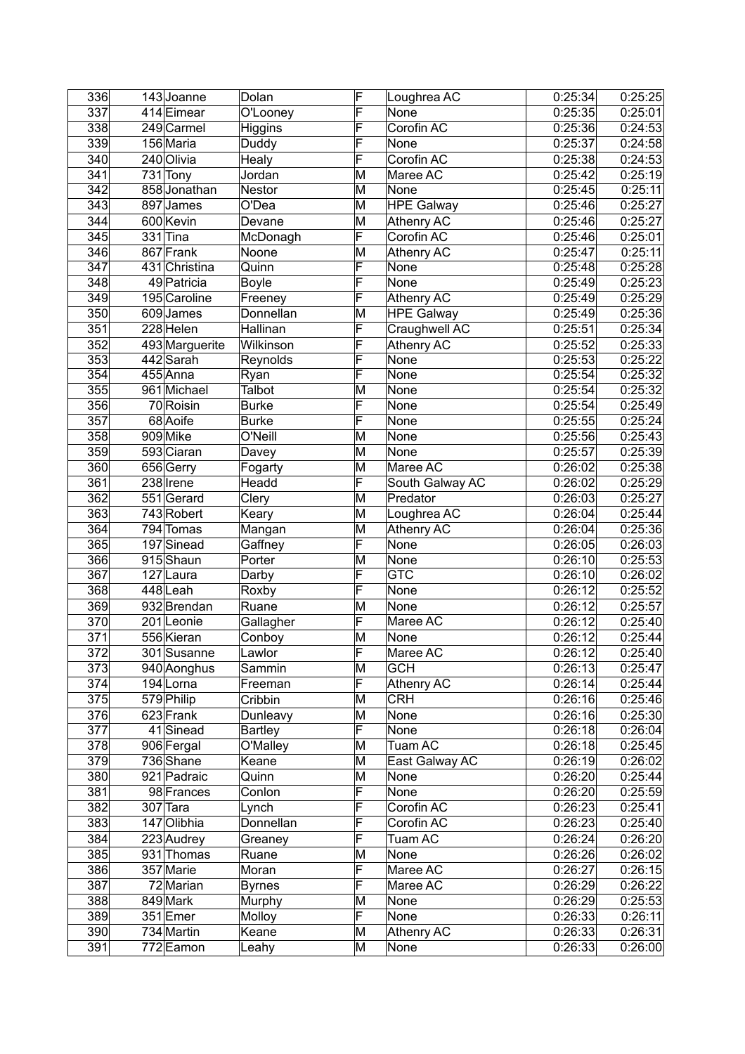| 336              | 143 Joanne             | Dolan          | F                       | Loughrea AC       | 0:25:34 | 0:25:25 |
|------------------|------------------------|----------------|-------------------------|-------------------|---------|---------|
| 337              | 414 Eimear             | O'Looney       | F                       | None              | 0:25:35 | 0:25:01 |
| 338              | 249 Carmel             | Higgins        | F                       | Corofin AC        | 0:25:36 | 0:24:53 |
| 339              | 156 Maria              | Duddy          | F                       | None              | 0:25:37 | 0:24:58 |
| 340              | 240 Olivia             | Healy          | F                       | Corofin AC        | 0:25:38 | 0:24:53 |
| 341              | 731 Tony               | Jordan         | M                       | Maree AC          | 0:25:42 | 0:25:19 |
| 342              | 858 Jonathan           | Nestor         | M                       | None              | 0:25:45 | 0:25:11 |
| 343              | 897 James              | O'Dea          | M                       | <b>HPE Galway</b> | 0:25:46 | 0:25:27 |
| 344              | 600 Kevin              | Devane         | M                       | Athenry AC        | 0:25:46 | 0:25:27 |
| 345              | $331$ Tina             | McDonagh       | F                       | Corofin AC        | 0:25:46 | 0:25:01 |
| 346              | 867 Frank              | Noone          | M                       | <b>Athenry AC</b> | 0:25:47 | 0:25:11 |
| 347              | 431 Christina          | Quinn          | F                       | None              | 0:25:48 | 0:25:28 |
| 348              | 49 Patricia            | Boyle          | F                       | <b>None</b>       | 0:25:49 | 0:25:23 |
| 349              | 195 Caroline           | Freeney        | F                       | Athenry AC        | 0:25:49 | 0:25:29 |
| 350              | 609James               | Donnellan      | M                       | <b>HPE Galway</b> | 0:25:49 | 0:25:36 |
| 351              | 228 Helen              | Hallinan       | F                       | Craughwell AC     | 0:25:51 | 0:25:34 |
| 352              | 493 Marguerite         | Wilkinson      | F                       | <b>Athenry AC</b> | 0:25:52 | 0:25:33 |
| $\overline{353}$ | 442 Sarah              | Reynolds       | F                       | None              | 0:25:53 | 0:25:22 |
| 354              | 455 Anna               | Ryan           | F                       | None              | 0:25:54 | 0:25:32 |
| 355              | 961 Michael            | Talbot         | M                       | None              | 0:25:54 | 0:25:32 |
| 356              | $\overline{7}0$ Roisin | <b>Burke</b>   | F                       | None              | 0:25:54 | 0:25:49 |
| 357              | 68 Aoife               | <b>Burke</b>   | F                       | None              | 0:25:55 | 0:25:24 |
| 358              | 909 Mike               | O'Neill        | M                       | None              | 0:25:56 | 0:25:43 |
| 359              | 593 Ciaran             | Davey          | M                       | None              | 0:25:57 | 0:25:39 |
| 360              | 656 Gerry              | Fogarty        | M                       | Maree AC          | 0:26:02 | 0:25:38 |
| 361              | 238 Irene              | Headd          | F                       | South Galway AC   | 0:26:02 | 0:25:29 |
| 362              | 551 Gerard             | Clery          | M                       | Predator          | 0:26:03 | 0:25:27 |
| 363              | 743 Robert             | Keary          | M                       | Loughrea AC       | 0:26:04 | 0:25:44 |
| 364              | 794 Tomas              | Mangan         | M                       | Athenry AC        | 0:26:04 | 0:25:36 |
| 365              | 197 Sinead             | Gaffney        | F                       | None              | 0:26:05 | 0:26:03 |
| 366              | 915 Shaun              | Porter         | M                       | None              | 0:26:10 | 0:25:53 |
| 367              | $\overline{1}27$ Laura | Darby          | $\overline{\mathsf{F}}$ | <b>GTC</b>        | 0:26:10 | 0:26:02 |
| 368              | 448Leah                | Roxby          | F                       | None              | 0:26:12 | 0:25:52 |
| 369              | 932 Brendan            | Ruane          | M                       | None              | 0:26:12 | 0:25:57 |
| 370              | 201Leonie              | Gallagher      | F                       | Maree AC          | 0:26:12 | 0:25:40 |
| 371              | 556 Kieran             | Conboy         | M                       | None              | 0:26:12 | 0:25:44 |
| 372              | 301 Susanne            | Lawlor         | $\overline{\mathsf{F}}$ | Maree AC          | 0:26:12 | 0:25:40 |
| 373              | 940 Aonghus            | Sammin         | M                       | <b>GCH</b>        | 0:26:13 | 0:25:47 |
| 374              | 194 Lorna              | Freeman        | F                       | Athenry AC        | 0:26:14 | 0:25:44 |
| 375              | 579 Philip             | Cribbin        | M                       | <b>CRH</b>        | 0:26:16 | 0:25:46 |
| $\overline{376}$ | 623 Frank              | Dunleavy       | M                       | None              | 0:26:16 | 0:25:30 |
| 377              | 41 Sinead              | <b>Bartley</b> | F                       | None              | 0:26:18 | 0:26:04 |
| 378              | 906 Fergal             | O'Malley       | M                       | Tuam AC           | 0:26:18 | 0:25:45 |
| 379              | 736 Shane              | Keane          | M                       | East Galway AC    | 0:26:19 | 0:26:02 |
| 380              | 921 Padraic            | Quinn          | M                       | None              | 0:26:20 | 0:25:44 |
| 381              | 98 Frances             | Conlon         | F                       | None              | 0:26:20 | 0:25:59 |
| 382              | $307$ Tara             | Lynch          | F                       | Corofin AC        | 0:26:23 | 0:25:41 |
| 383              | 147 Olibhia            | Donnellan      | F                       | Corofin AC        | 0:26:23 | 0:25:40 |
| 384              | 223 Audrey             | Greaney        | F                       | Tuam AC           | 0:26:24 | 0:26:20 |
| 385              | 931 Thomas             | Ruane          | M                       | None              | 0:26:26 | 0:26:02 |
| 386              | 357 Marie              | Moran          | F                       | Maree AC          | 0:26:27 | 0:26:15 |
| 387              | 72 Marian              | <b>Byrnes</b>  | F                       | Maree AC          | 0:26:29 | 0:26:22 |
| 388              | 849 Mark               | Murphy         | M                       | None              | 0:26:29 | 0:25:53 |
| 389              | 351 Emer               | Molloy         | F                       | None              | 0:26:33 | 0:26:11 |
| 390              | 734 Martin             | Keane          | M                       | Athenry AC        | 0:26:33 | 0:26:31 |
| 391              | 772 Eamon              | Leahy          | M                       | None              | 0:26:33 | 0:26:00 |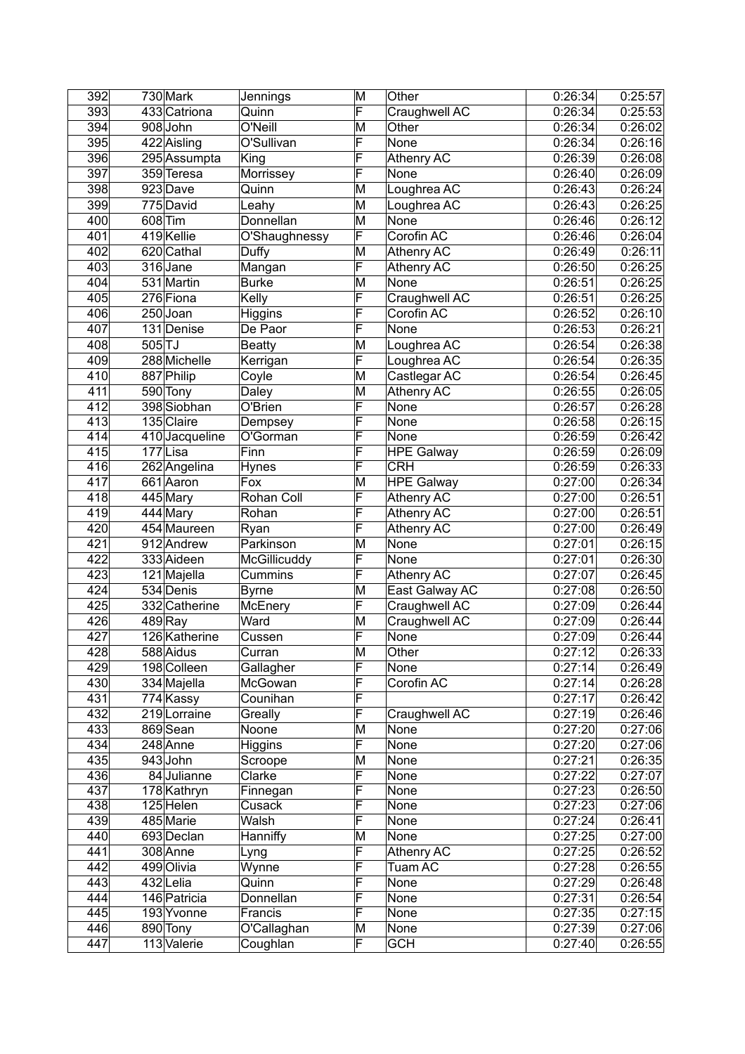| 392 | 730 Mark       | Jennings      | M                       | Other             | 0:26:34 | 0:25:57 |
|-----|----------------|---------------|-------------------------|-------------------|---------|---------|
| 393 | 433 Catriona   | Quinn         | F                       | Craughwell AC     | 0:26:34 | 0:25:53 |
| 394 | 908John        | O'Neill       | M                       | Other             | 0:26:34 | 0:26:02 |
| 395 | 422 Aisling    | O'Sullivan    | F                       | None              | 0:26:34 | 0:26:16 |
| 396 | 295 Assumpta   | King          | F                       | Athenry AC        | 0:26:39 | 0:26:08 |
| 397 | 359 Teresa     | Morrissey     | F                       | None              | 0:26:40 | 0:26:09 |
| 398 | 923 Dave       | Quinn         | M                       | Loughrea AC       | 0:26:43 | 0:26:24 |
| 399 | 775 David      | Leahy         | M                       | Loughrea AC       | 0:26:43 | 0:26:25 |
| 400 | 608 Tim        | Donnellan     | M                       | None              | 0:26:46 | 0:26:12 |
| 401 | 419 Kellie     | O'Shaughnessy | F                       | Corofin AC        | 0:26:46 | 0:26:04 |
| 402 | 620 Cathal     |               | M                       | <b>Athenry AC</b> |         | 0:26:11 |
|     |                | Duffy         | $\overline{\mathsf{F}}$ |                   | 0:26:49 |         |
| 403 | 316 Jane       | Mangan        |                         | Athenry AC        | 0:26:50 | 0:26:25 |
| 404 | 531 Martin     | <b>Burke</b>  | M                       | <b>None</b>       | 0:26:51 | 0:26:25 |
| 405 | 276 Fiona      | Kelly         | F                       | Craughwell AC     | 0:26:51 | 0:26:25 |
| 406 | 250Joan        | Higgins       | F                       | Corofin AC        | 0:26:52 | 0:26:10 |
| 407 | 131 Denise     | De Paor       | F                       | None              | 0:26:53 | 0:26:21 |
| 408 | $505$ TJ       | <b>Beatty</b> | M                       | Loughrea AC       | 0:26:54 | 0:26:38 |
| 409 | 288 Michelle   | Kerrigan      | F                       | Loughrea AC       | 0:26:54 | 0:26:35 |
| 410 | 887 Philip     | Coyle         | M                       | Castlegar AC      | 0:26:54 | 0:26:45 |
| 411 | 590 Tony       | Daley         | M                       | Athenry AC        | 0:26:55 | 0:26:05 |
| 412 | 398 Siobhan    | O'Brien       | F                       | None              | 0:26:57 | 0:26:28 |
| 413 | 135 Claire     | Dempsey       | F                       | None              | 0:26:58 | 0:26:15 |
| 414 | 410 Jacqueline | O'Gorman      | F                       | None              | 0:26:59 | 0:26:42 |
| 415 | 177Lisa        | Finn          | F                       | <b>HPE</b> Galway | 0:26:59 | 0:26:09 |
| 416 | 262 Angelina   | Hynes         | F                       | <b>CRH</b>        | 0:26:59 | 0:26:33 |
| 417 | 661 Aaron      | Fox           | M                       | <b>HPE Galway</b> | 0:27:00 | 0:26:34 |
| 418 | 445 Mary       | Rohan Coll    | F                       | Athenry AC        | 0:27:00 | 0:26:51 |
| 419 | 444 Mary       | Rohan         | F                       | Athenry AC        | 0:27:00 | 0:26:51 |
| 420 | 454 Maureen    | Ryan          | F                       | Athenry AC        | 0:27:00 | 0:26:49 |
| 421 | 912 Andrew     | Parkinson     | M                       | None              | 0:27:01 | 0:26:15 |
| 422 |                | McGillicuddy  | F                       | None              | 0:27:01 | 0:26:30 |
|     | 333 Aideen     |               |                         |                   |         |         |
| 423 | 121 Majella    | Cummins       | F                       | Athenry AC        | 0:27:07 | 0:26:45 |
| 424 | 534 Denis      | <b>Byrne</b>  | M                       | East Galway AC    | 0:27:08 | 0:26:50 |
| 425 | 332 Catherine  | McEnery       | F                       | Craughwell AC     | 0:27:09 | 0:26:44 |
| 426 | 489Ray         | Ward          | M                       | Craughwell AC     | 0:27:09 | 0:26:44 |
| 427 | 126 Katherine  | Cussen        | $\overline{\mathsf{F}}$ | None              | 0:27:09 | 0:26:44 |
| 428 | 588 Aidus      | Curran        | M                       | Other             | 0:27:12 | 0:26:33 |
| 429 | 198 Colleen    | Gallagher     | F                       | None              | 0:27:14 | 0:26:49 |
| 430 | 334 Majella    | McGowan       | F                       | Corofin AC        | 0:27:14 | 0:26:28 |
| 431 | 774 Kassy      | Counihan      | F                       |                   | 0:27:17 | 0:26:42 |
| 432 | 219 Lorraine   | Greally       | $\overline{\mathsf{F}}$ | Craughwell AC     | 0:27:19 | 0:26:46 |
| 433 | 869 Sean       | Noone         | M                       | None              | 0:27:20 | 0:27:06 |
| 434 | 248 Anne       | Higgins       | $\overline{\mathsf{F}}$ | None              | 0:27:20 | 0:27:06 |
| 435 | 943John        | Scroope       | M                       | None              | 0:27:21 | 0:26:35 |
| 436 | 84 Julianne    | Clarke        | F                       | None              | 0:27:22 | 0:27:07 |
| 437 | 178 Kathryn    | Finnegan      | $\overline{\mathsf{F}}$ | None              | 0:27:23 | 0:26:50 |
| 438 | 125 Helen      | Cusack        | F                       | None              | 0:27:23 | 0:27:06 |
| 439 | 485 Marie      | Walsh         | $\overline{\mathsf{F}}$ | None              | 0:27:24 | 0:26:41 |
| 440 | 693 Declan     | Hanniffy      | M                       | None              | 0:27:25 | 0:27:00 |
| 441 | 308 Anne       | Lyng          | F                       | Athenry AC        | 0:27:25 | 0:26:52 |
| 442 | 499 Olivia     | Wynne         | F                       | Tuam AC           | 0:27:28 | 0:26:55 |
| 443 | 432 Lelia      | Quinn         | F                       | None              | 0:27:29 | 0:26:48 |
| 444 | 146 Patricia   | Donnellan     | F                       | None              | 0:27:31 | 0:26:54 |
| 445 | 193 Yvonne     | Francis       | F                       | None              | 0:27:35 | 0:27:15 |
|     |                |               |                         |                   |         |         |
| 446 | 890 Tony       | O'Callaghan   | M                       | None              | 0:27:39 | 0:27:06 |
| 447 | 113 Valerie    | Coughlan      | F                       | <b>GCH</b>        | 0:27:40 | 0:26:55 |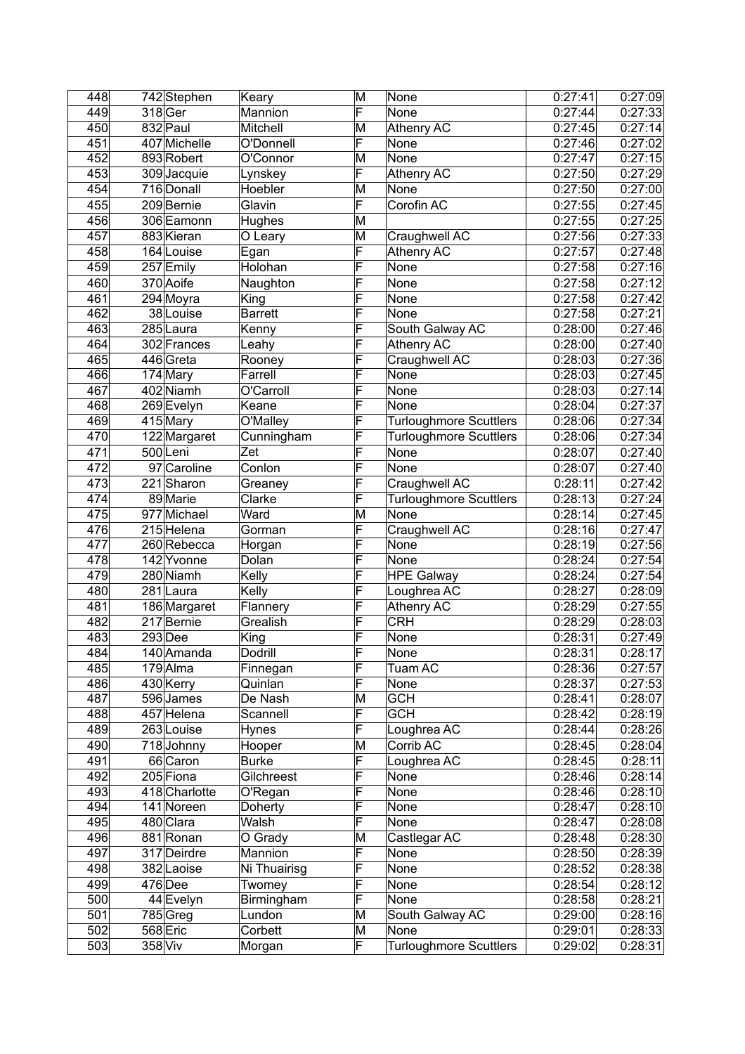| 448 | 742 Stephen   | Keary          | M                       | None                          | 0:27:41            | 0:27:09              |
|-----|---------------|----------------|-------------------------|-------------------------------|--------------------|----------------------|
| 449 | 318 Ger       | Mannion        | F                       | None                          | 0:27:44            | 0:27:33              |
| 450 | 832 Paul      | Mitchell       | M                       | <b>Athenry AC</b>             | 0:27:45            | 0:27:14              |
| 451 | 407 Michelle  | O'Donnell      | F                       | None                          | 0:27:46            | 0:27:02              |
| 452 | 893 Robert    | O'Connor       | M                       | None                          | 0:27:47            | 0:27:15              |
| 453 | 309 Jacquie   | Lynskey        | F                       | <b>Athenry AC</b>             | 0:27:50            | 0:27:29              |
| 454 | 716 Donall    | Hoebler        | M                       | None                          | 0:27:50            | 0:27:00              |
| 455 | 209 Bernie    | Glavin         | F                       | Corofin AC                    | 0:27:55            | 0:27:45              |
| 456 | 306 Eamonn    | <b>Hughes</b>  | M                       |                               | 0:27:55            | 0:27:25              |
| 457 | 883 Kieran    | O Leary        | M                       | Craughwell AC                 | 0:27:56            | 0:27:33              |
| 458 | 164 Louise    | Egan           | F                       | Athenry AC                    | 0:27:57            | 0:27:48              |
| 459 | 257 Emily     | Holohan        | F                       | None                          | 0:27:58            | 0:27:16              |
| 460 | 370 Aoife     | Naughton       | F                       | None                          | 0:27:58            | 0:27:12              |
| 461 | 294 Moyra     | King           | $\overline{\mathsf{F}}$ | None                          | 0:27:58            | $\overline{0:}27:42$ |
| 462 | 38 Louise     | <b>Barrett</b> | $\overline{\mathsf{F}}$ | None                          | 0:27:58            | 0:27:21              |
| 463 | 285 Laura     | Kenny          | $\overline{\mathsf{F}}$ | South Galway AC               | 0:28:00            | 0:27:46              |
| 464 | 302 Frances   | Leahy          | F                       | <b>Athenry AC</b>             | 0:28:00            | 0:27:40              |
| 465 | $446$ Greta   | Rooney         | F                       | Craughwell AC                 | 0:28:03            | 0:27:36              |
| 466 | $174$ Mary    | Farrell        | F                       | None                          | 0:28:03            | 0:27:45              |
| 467 | 402 Niamh     | O'Carroll      | F                       |                               |                    | 0:27:14              |
| 468 |               |                | F                       | None                          | 0:28:03<br>0:28:04 |                      |
|     | 269 Evelyn    | Keane          |                         | None                          |                    | 0:27:37              |
| 469 | 415 Mary      | O'Malley       | F                       | <b>Turloughmore Scuttlers</b> | 0:28:06            | 0:27:34              |
| 470 | 122 Margaret  | Cunningham     | F                       | <b>Turloughmore Scuttlers</b> | 0:28:06            | 0:27:34              |
| 471 | 500Leni       | Zet            | F                       | None                          | 0:28:07            | 0:27:40              |
| 472 | 97 Caroline   | Conlon         | $\overline{\mathsf{F}}$ | None                          | 0:28:07            | 0:27:40              |
| 473 | 221 Sharon    | Greaney        | F                       | Craughwell AC                 | 0:28:11            | 0:27:42              |
| 474 | 89 Marie      | Clarke         | F                       | <b>Turloughmore Scuttlers</b> | 0:28:13            | 0:27:24              |
| 475 | 977 Michael   | Ward           | M                       | None                          | 0:28:14            | 0:27:45              |
| 476 | 215 Helena    | Gorman         | F                       | Craughwell AC                 | 0:28:16            | 0:27:47              |
| 477 | 260 Rebecca   | Horgan         | F                       | None                          | 0:28:19            | 0:27:56              |
| 478 | 142 Yvonne    | Dolan          | F                       | None                          | 0:28:24            | 0:27:54              |
| 479 | 280 Niamh     | Kelly          | F                       | <b>HPE Galway</b>             | 0:28:24            | 0:27:54              |
| 480 | 281 Laura     | Kelly          | $\overline{\mathsf{F}}$ | Loughrea AC                   | 0:28:27            | 0:28:09              |
| 481 | 186 Margaret  | Flannery       | F                       | Athenry AC                    | 0:28:29            | 0:27:55              |
| 482 | 217 Bernie    | Grealish       | F                       | <b>CRH</b>                    | 0:28:29            | 0:28:03              |
| 483 | $293$ Dee     | King           | F                       | None                          | 0:28:31            | 0:27:49              |
| 484 | 140 Amanda    | Dodrill        | $\overline{\mathsf{F}}$ | None                          | 0:28:31            | 0:28:17              |
| 485 | $179$  Alma   | Finnegan       | F                       | Tuam AC                       | 0:28:36            | 0:27:57              |
| 486 | 430 Kerry     | Quinlan        | F                       | None                          | 0:28:37            | 0:27:53              |
| 487 | 596 James     | De Nash        | M                       | <b>GCH</b>                    | 0:28:41            | 0:28:07              |
| 488 | 457 Helena    | Scannell       | F                       | <b>GCH</b>                    | 0:28:42            | 0:28:19              |
| 489 | 263 Louise    | <b>Hynes</b>   | F                       | Loughrea AC                   | 0:28:44            | 0:28:26              |
| 490 | 718 Johnny    | Hooper         | M                       | Corrib AC                     | 0:28:45            | 0:28:04              |
| 491 | 66 Caron      | <b>Burke</b>   | F                       | Loughrea AC                   | 0:28:45            | 0:28:11              |
| 492 | 205 Fiona     | Gilchreest     | F                       | None                          | 0:28:46            | 0:28:14              |
| 493 | 418 Charlotte | O'Regan        | F                       | None                          | 0:28:46            | 0:28:10              |
| 494 | 141 Noreen    | Doherty        | F                       | <b>None</b>                   | 0:28:47            | 0:28:10              |
| 495 | 480 Clara     | Walsh          | F                       | None                          | 0:28:47            | 0:28:08              |
| 496 | 881 Ronan     | O Grady        | M                       | Castlegar AC                  | 0:28:48            | 0:28:30              |
| 497 | 317 Deirdre   | Mannion        | F                       | None                          | 0:28:50            | 0:28:39              |
| 498 | 382 Laoise    | Ni Thuairisg   | F                       | None                          | 0:28:52            | 0:28:38              |
| 499 | $476$ Dee     | Twomey         | F                       | None                          | 0:28:54            | 0:28:12              |
| 500 | $44$ Evelyn   | Birmingham     | F                       | None                          | 0:28:58            | 0:28:21              |
| 501 | $785$ Greg    | Lundon         | M                       | South Galway AC               | 0:29:00            | 0:28:16              |
| 502 | 568 Eric      | Corbett        | M                       | None                          | 0:29:01            | 0:28:33              |
| 503 | 358 Viv       | Morgan         | F                       | <b>Turloughmore Scuttlers</b> | 0:29:02            | 0:28:31              |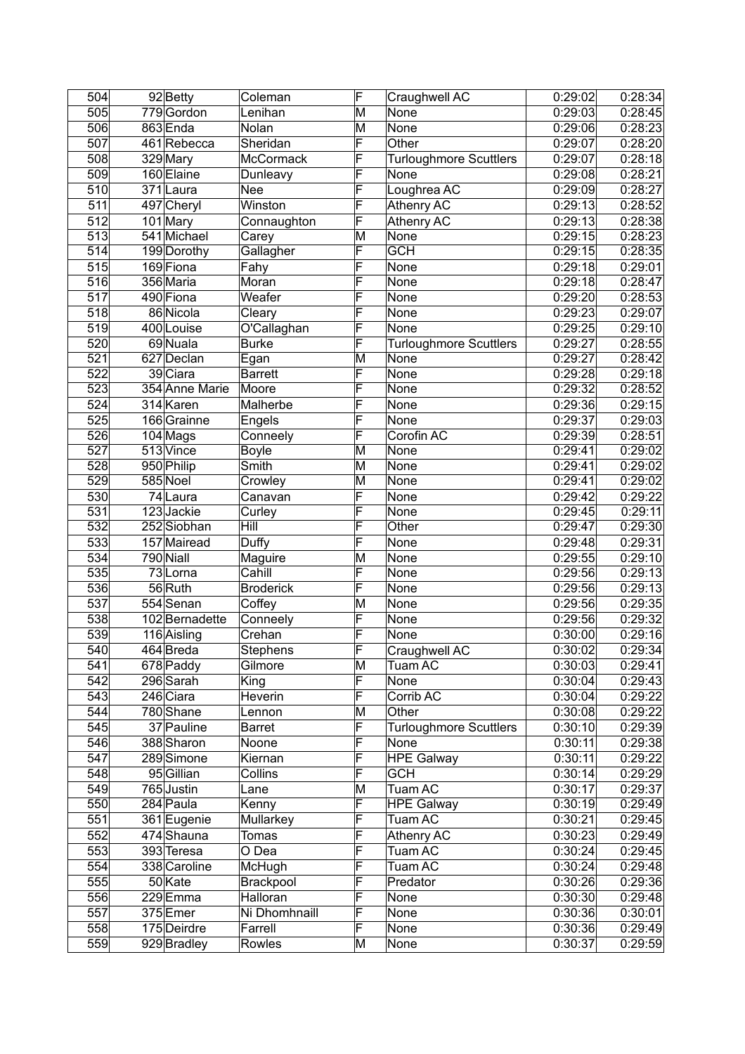| 504              | $92$ Betty             | Coleman                | F                       | Craughwell AC                 | 0:29:02 | 0:28:34 |
|------------------|------------------------|------------------------|-------------------------|-------------------------------|---------|---------|
| 505              | 779 Gordon             | Lenihan                | M                       | None                          | 0:29:03 | 0:28:45 |
| 506              | 863 Enda               | Nolan                  | M                       | None                          | 0:29:06 | 0:28:23 |
| 507              | 461Rebecca             | Sheridan               | F                       | Other                         | 0:29:07 | 0:28:20 |
| 508              | 329 Mary               | McCormack              | F                       | <b>Turloughmore Scuttlers</b> | 0:29:07 | 0:28:18 |
| 509              | 160 Elaine             | Dunleavy               | F                       | None                          | 0:29:08 | 0:28:21 |
| 510              | 371 Laura              | Nee                    | F                       | Loughrea AC                   | 0:29:09 | 0:28:27 |
| 511              | 497 Cheryl             | Winston                | F                       | Athenry AC                    | 0:29:13 | 0:28:52 |
| 512              | 101 Mary               | Connaughton            | F                       | Athenry AC                    | 0:29:13 | 0:28:38 |
| 513              | 541 Michael            | Carey                  | M                       | None                          | 0:29:15 | 0:28:23 |
| 514              | 199 Dorothy            | Gallagher              | F                       | <b>GCH</b>                    | 0:29:15 | 0:28:35 |
| 515              | 169 Fiona              | Fahy                   | F                       | None                          | 0:29:18 | 0:29:01 |
| 516              | 356 Maria              | Moran                  | F                       | None                          | 0:29:18 | 0:28:47 |
| 517              | 490 Fiona              | Weafer                 | F                       | None                          | 0:29:20 | 0:28:53 |
| 518              | 86 Nicola              | Cleary                 | F                       | None                          | 0:29:23 | 0:29:07 |
| 519              | 400 Louise             | O'Callaghan            | $\overline{\mathsf{F}}$ | None                          | 0:29:25 | 0:29:10 |
|                  |                        |                        | F                       |                               | 0:29:27 |         |
| 520              | 69 Nuala               | <b>Burke</b>           |                         | <b>Turloughmore Scuttlers</b> |         | 0:28:55 |
| 521              | 627 Declan<br>39 Ciara | Egan<br><b>Barrett</b> | M<br>F                  | None                          | 0:29:27 | 0:28:42 |
| 522              |                        |                        |                         | None                          | 0:29:28 | 0:29:18 |
| 523              | 354 Anne Marie         | Moore                  | F                       | None                          | 0:29:32 | 0:28:52 |
| 524              | 314 Karen              | Malherbe               | F                       | None                          | 0:29:36 | 0:29:15 |
| 525              | 166 Grainne            | Engels                 | F                       | None                          | 0:29:37 | 0:29:03 |
| 526              | $104$ Mags             | Conneely               | F                       | Corofin AC                    | 0:29:39 | 0:28:51 |
| $\overline{527}$ | 513 Vince              | <b>Boyle</b>           | M                       | None                          | 0:29:41 | 0:29:02 |
| 528              | 950 Philip             | Smith                  | M                       | None                          | 0:29:41 | 0:29:02 |
| 529              | $585$ Noel             | Crowley                | M                       | None                          | 0:29:41 | 0:29:02 |
| 530              | $\overline{7}$ 4 Laura | Canavan                | F                       | None                          | 0:29:42 | 0:29:22 |
| 531              | 123 Jackie             | Curley                 | F                       | None                          | 0:29:45 | 0:29:11 |
| 532              | 252 Siobhan            | Hill                   | F                       | Other                         | 0:29:47 | 0:29:30 |
| 533              | 157 Mairead            | Duffy                  | F                       | None                          | 0:29:48 | 0:29:31 |
| 534              | 790 Niall              | Maguire                | M                       | None                          | 0:29:55 | 0:29:10 |
| 535              | 73Lorna                | Cahill                 | F                       | None                          | 0:29:56 | 0:29:13 |
| 536              | 56 Ruth                | <b>Broderick</b>       | F                       | None                          | 0:29:56 | 0:29:13 |
| 537              | 554 Senan              | Coffey                 | M                       | None                          | 0:29:56 | 0:29:35 |
| 538              | 102 Bernadette         | Conneely               | F                       | None                          | 0:29:56 | 0:29:32 |
| 539              | 116 Aisling            | Crehan                 | F                       | None                          | 0:30:00 | 0:29:16 |
| 540              | 464Breda               | Stephens               | $\overline{\mathsf{F}}$ | Craughwell AC                 | 0:30:02 | 0:29:34 |
| 541              | 678 Paddy              | Gilmore                | M                       | Tuam AC                       | 0:30:03 | 0:29:41 |
| 542              | $296$ Sarah            | King                   | F                       | None                          | 0:30:04 | 0:29:43 |
| 543              | 246 Ciara              | Heverin                | F                       | Corrib AC                     | 0:30:04 | 0:29:22 |
| 544              | 780 Shane              | Lennon                 | M                       | Other                         | 0:30:08 | 0:29:22 |
| 545              | 37 Pauline             | <b>Barret</b>          | F                       | <b>Turloughmore Scuttlers</b> | 0:30:10 | 0:29:39 |
| 546              | 388 Sharon             | Noone                  | F                       | None                          | 0:30:11 | 0:29:38 |
| 547              | 289 Simone             | Kiernan                | F                       | <b>HPE Galway</b>             | 0:30:11 | 0:29:22 |
| 548              | 95 Gillian             | Collins                | $\overline{\mathsf{F}}$ | <b>GCH</b>                    | 0:30:14 | 0:29:29 |
| 549              | 765 Justin             | Lane                   | M                       | Tuam AC                       | 0:30:17 | 0:29:37 |
| 550              | 284 Paula              | Kenny                  | F                       | <b>HPE Galway</b>             | 0:30:19 | 0:29:49 |
| 551              | 361 Eugenie            | Mullarkey              | F                       | Tuam AC                       | 0:30:21 | 0:29:45 |
| 552              | 474 Shauna             | Tomas                  | F                       | Athenry AC                    | 0:30:23 | 0:29:49 |
| 553              | 393 Teresa             | O Dea                  | $\overline{\mathsf{F}}$ | Tuam AC                       | 0:30:24 | 0:29:45 |
| 554              | 338 Caroline           | McHugh                 | F                       | Tuam AC                       | 0:30:24 | 0:29:48 |
| 555              | 50 Kate                | Brackpool              | F                       | Predator                      | 0:30:26 | 0:29:36 |
| 556              | 229Emma                | Halloran               | F                       | None                          | 0:30:30 | 0:29:48 |
|                  |                        |                        | F                       |                               |         |         |
| 557              | 375 Emer               | Ni Dhomhnaill          | F                       | None                          | 0:30:36 | 0:30:01 |
| 558              | 175 Deirdre            | Farrell                |                         | None                          | 0:30:36 | 0:29:49 |
| 559              | 929 Bradley            | Rowles                 | M                       | None                          | 0:30:37 | 0:29:59 |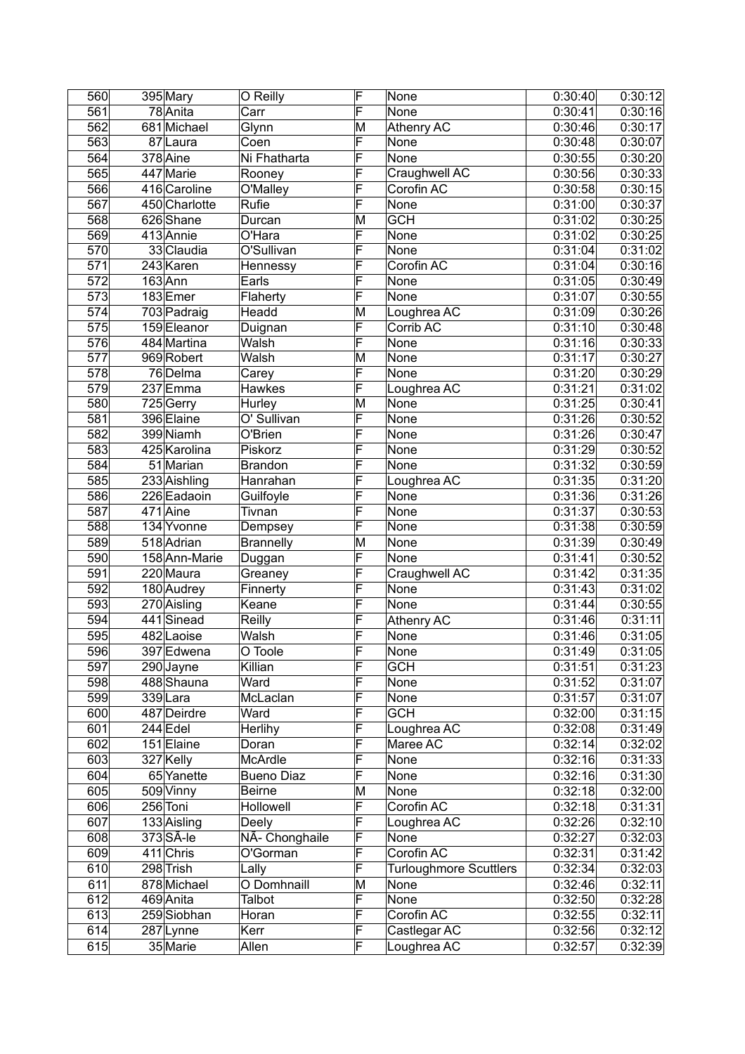| 560              | $395$ Mary    | O Reilly                 | F                       | None                          | 0:30:40 | 0:30:12 |
|------------------|---------------|--------------------------|-------------------------|-------------------------------|---------|---------|
| $\overline{561}$ | 78 Anita      | $\overline{\text{Carr}}$ | F                       | None                          | 0:30:41 | 0:30:16 |
| 562              | 681 Michael   | Glynn                    | M                       | <b>Athenry AC</b>             | 0:30:46 | 0:30:17 |
| 563              | 87 Laura      | Coen                     | F                       | None                          | 0:30:48 | 0:30:07 |
| 564              | 378 Aine      | Ni Fhatharta             | F                       | None                          | 0:30:55 | 0:30:20 |
| 565              | 447 Marie     | Rooney                   | F                       | Craughwell AC                 | 0:30:56 | 0:30:33 |
| 566              | 416 Caroline  | O'Malley                 | F                       | Corofin AC                    | 0:30:58 | 0:30:15 |
| 567              | 450 Charlotte | Rufie                    | F                       | None                          | 0:31:00 | 0:30:37 |
| 568              | 626 Shane     | Durcan                   | M                       | <b>GCH</b>                    | 0:31:02 | 0:30:25 |
| 569              | 413 Annie     | O'Hara                   | F                       | None                          | 0:31:02 | 0:30:25 |
| 570              | 33 Claudia    | O'Sullivan               | F                       | None                          | 0:31:04 | 0:31:02 |
| 571              | 243 Karen     | Hennessy                 | F                       | Corofin AC                    | 0:31:04 | 0:30:16 |
| 572              | $163$ Ann     | Earls                    | F                       | None                          | 0:31:05 | 0:30:49 |
| 573              | 183 Emer      | Flaherty                 | F                       | None                          | 0:31:07 | 0:30:55 |
| 574              | 703 Padraig   | Headd                    | M                       | Loughrea AC                   | 0:31:09 | 0:30:26 |
| 575              | 159 Eleanor   | Duignan                  | F                       | Corrib AC                     | 0:31:10 | 0:30:48 |
| 576              | 484 Martina   | Walsh                    | F                       | None                          | 0:31:16 | 0:30:33 |
| 577              | 969 Robert    | Walsh                    | M                       | None                          | 0:31:17 | 0:30:27 |
| 578              | 76 Delma      | Carey                    | F                       | None                          | 0:31:20 | 0:30:29 |
| 579              | 237 Emma      | Hawkes                   | F                       | Loughrea AC                   | 0:31:21 | 0:31:02 |
| 580              | 725 Gerry     | Hurley                   | M                       | None                          | 0:31:25 | 0:30:41 |
| 581              | 396 Elaine    | O' Sullivan              | F                       | None                          | 0:31:26 | 0:30:52 |
| 582              | 399 Niamh     | O'Brien                  | F                       | None                          | 0:31:26 | 0:30:47 |
| 583              | 425 Karolina  | Piskorz                  | F                       | None                          | 0:31:29 | 0:30:52 |
| 584              | 51 Marian     | <b>Brandon</b>           | F                       | None                          | 0:31:32 | 0:30:59 |
| 585              | 233 Aishling  | Hanrahan                 | F                       | Loughrea AC                   | 0:31:35 | 0:31:20 |
| 586              | 226 Eadaoin   | Guilfoyle                | F                       | None                          | 0:31:36 | 0:31:26 |
| 587              | 471 Aine      | Tivnan                   | F                       | None                          | 0:31:37 | 0:30:53 |
| 588              | 134 Yvonne    | Dempsey                  | F                       | None                          | 0:31:38 | 0:30:59 |
| 589              | 518 Adrian    | <b>Brannelly</b>         | M                       | None                          | 0:31:39 | 0:30:49 |
| 590              | 158 Ann-Marie | Duggan                   | F                       | None                          | 0:31:41 | 0:30:52 |
| 591              | 220 Maura     | Greaney                  | F                       | Craughwell AC                 | 0:31:42 | 0:31:35 |
| 592              | 180 Audrey    | Finnerty                 | F                       | None                          | 0:31:43 | 0:31:02 |
| 593              | 270 Aisling   | Keane                    | F                       | None                          | 0:31:44 | 0:30:55 |
| 594              | 441 Sinead    | Reilly                   | F                       | <b>Athenry AC</b>             | 0:31:46 | 0:31:11 |
| 595              | 482 Laoise    | Walsh                    | F                       | None                          | 0:31:46 | 0:31:05 |
| 596              | 397 Edwena    | O Toole                  | F                       | None                          | 0:31:49 | 0:31:05 |
| 597              | 290 Jayne     | Killian                  | F                       | <b>GCH</b>                    | 0:31:51 | 0:31:23 |
| 598              | 488 Shauna    | Ward                     | F                       | None                          | 0:31:52 | 0:31:07 |
| 599              | 339Lara       | McLaclan                 | F                       | None                          | 0:31:57 | 0:31:07 |
| 600              | 487 Deirdre   | Ward                     | F                       | <b>GCH</b>                    | 0:32:00 | 0:31:15 |
| 601              | $244$ Edel    | Herlihy                  | F                       | Loughrea AC                   | 0:32:08 | 0:31:49 |
| 602              | $151$ Elaine  | Doran                    | F                       | Maree AC                      | 0:32:14 | 0:32:02 |
| 603              | 327 Kelly     | McArdle                  | $\overline{\mathsf{F}}$ | None                          | 0:32:16 | 0:31:33 |
| 604              | 65 Yanette    | <b>Bueno Diaz</b>        | F                       | None                          | 0:32:16 | 0:31:30 |
| 605              | 509 Vinny     | <b>Beirne</b>            | M                       | None                          | 0:32:18 | 0:32:00 |
| 606              | 256 Toni      | Hollowell                | F                       | Corofin AC                    | 0:32:18 | 0:31:31 |
| 607              | 133 Aisling   | Deely                    | F                       | Loughrea AC                   | 0:32:26 | 0:32:10 |
| 608              | 373 SÃ-le     | NÃ- Chonghaile           | F                       | None                          | 0:32:27 | 0:32:03 |
| 609              | $411$ Chris   | O'Gorman                 | $\overline{\mathsf{F}}$ | Corofin AC                    | 0:32:31 | 0:31:42 |
| 610              | 298 Trish     | Lally                    | F                       | <b>Turloughmore Scuttlers</b> | 0:32:34 | 0:32:03 |
| 611              | 878 Michael   | O Domhnaill              | M                       | None                          | 0:32:46 | 0:32:11 |
| 612              | 469 Anita     | <b>Talbot</b>            | F                       | None                          | 0:32:50 | 0:32:28 |
| 613              | 259 Siobhan   | Horan                    | F                       | Corofin AC                    | 0:32:55 | 0:32:11 |
| 614              | 287 Lynne     | Kerr                     | $\overline{\mathsf{F}}$ | Castlegar AC                  | 0:32:56 | 0:32:12 |
| 615              | 35 Marie      | Allen                    | F                       | Loughrea AC                   | 0:32:57 | 0:32:39 |
|                  |               |                          |                         |                               |         |         |